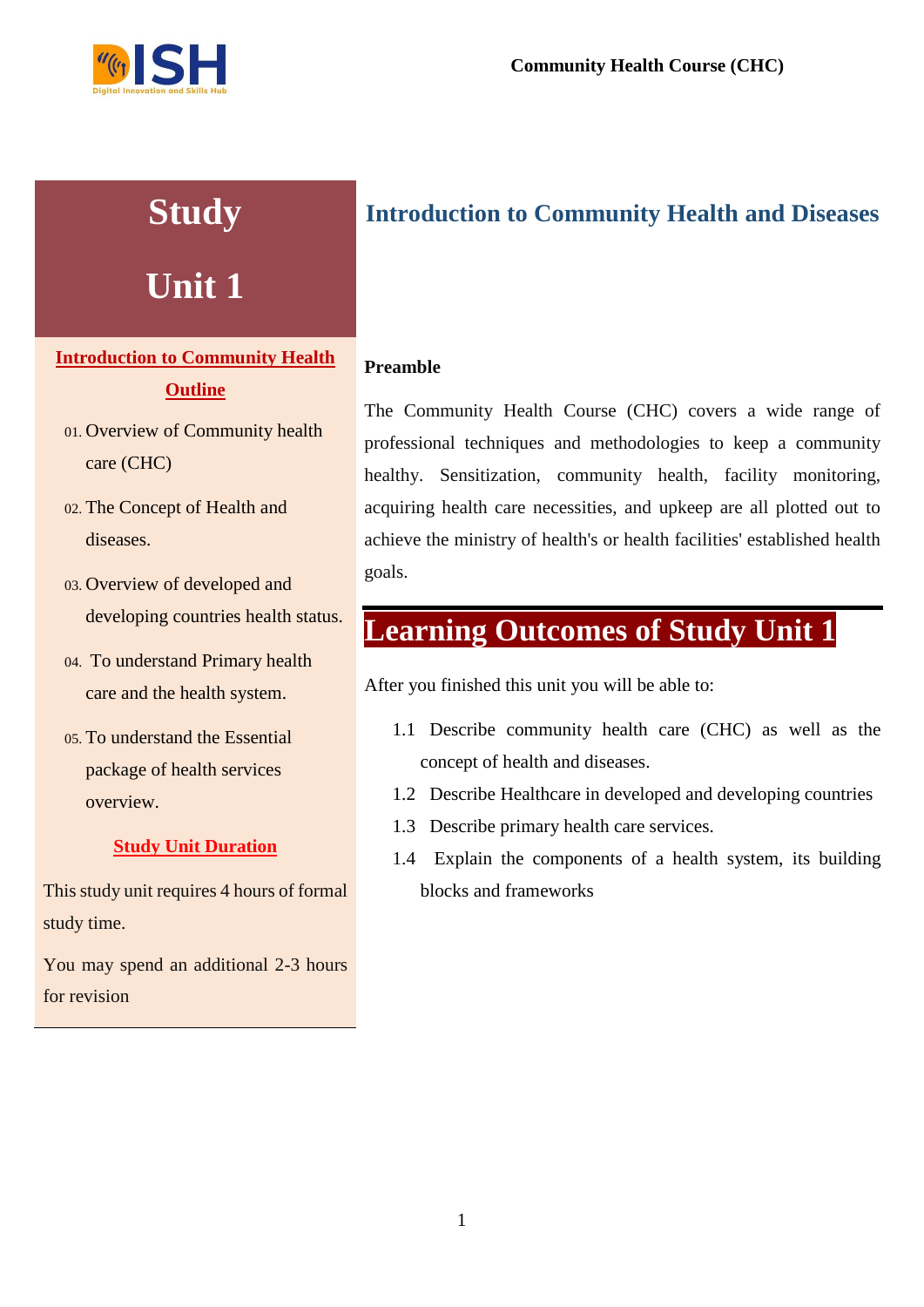

# **Study**

# **Unit 1**

## **Introduction to Community Health Outline**

- 01. Overview of Community health care (CHC)
- 02. The Concept of Health and diseases.
- 03. Overview of developed and developing countries health status.
- 04. To understand Primary health care and the health system.
- 05. To understand the Essential package of health services overview.

#### **Study Unit Duration**

This study unit requires 4 hours of formal study time.

You may spend an additional 2-3 hours for revision

## **Introduction to Community Health and Diseases**

## **Preamble**

The Community Health Course (CHC) covers a wide range of professional techniques and methodologies to keep a community healthy. Sensitization, community health, facility monitoring, acquiring health care necessities, and upkeep are all plotted out to achieve the ministry of health's or health facilities' established health goals.

## **Learning Outcomes of Study Unit 1**

After you finished this unit you will be able to:

- 1.1 Describe community health care (CHC) as well as the concept of health and diseases.
- 1.2 Describe Healthcare in developed and developing countries
- 1.3 Describe primary health care services.
- 1.4 Explain the components of a health system, its building blocks and frameworks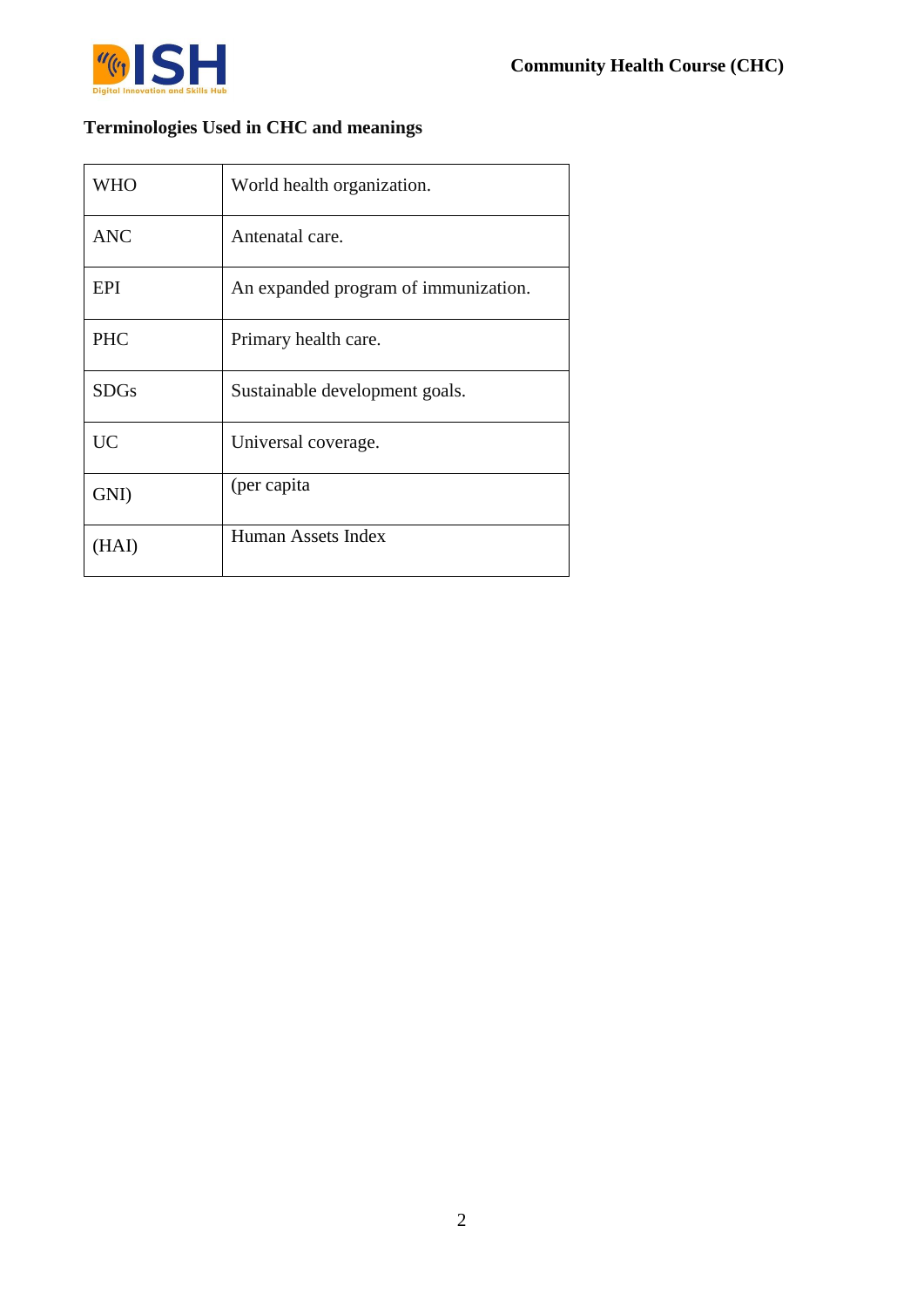

## **Terminologies Used in CHC and meanings**

| <b>WHO</b>  | World health organization.           |
|-------------|--------------------------------------|
| <b>ANC</b>  | Antenatal care.                      |
| EPI         | An expanded program of immunization. |
| <b>PHC</b>  | Primary health care.                 |
| <b>SDGs</b> | Sustainable development goals.       |
| <b>UC</b>   | Universal coverage.                  |
| GNI)        | (per capita)                         |
| (HAI)       | Human Assets Index                   |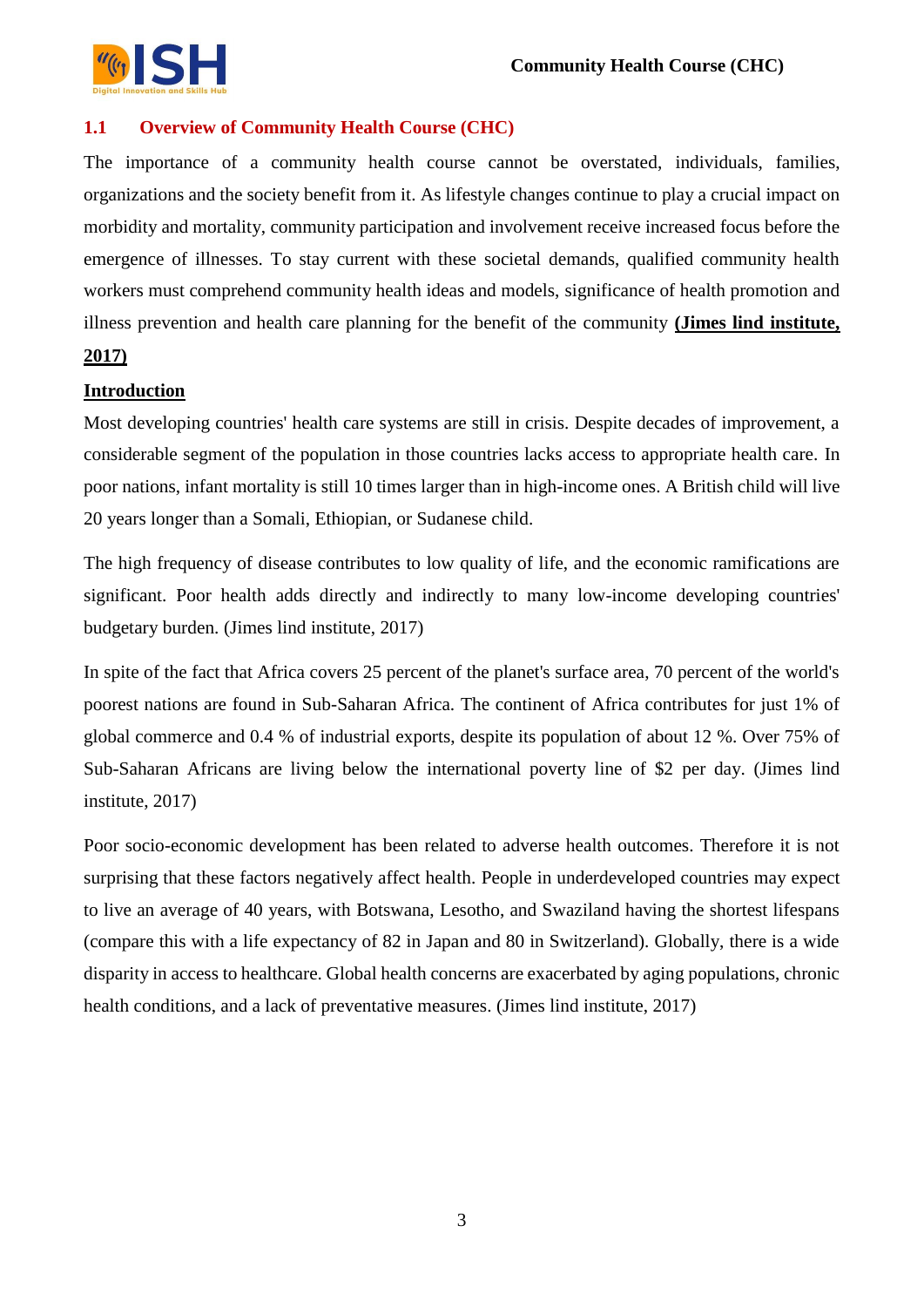

## **1.1 Overview of Community Health Course (CHC)**

The importance of a community health course cannot be overstated, individuals, families, organizations and the society benefit from it. As lifestyle changes continue to play a crucial impact on morbidity and mortality, community participation and involvement receive increased focus before the emergence of illnesses. To stay current with these societal demands, qualified community health workers must comprehend community health ideas and models, significance of health promotion and illness prevention and health care planning for the benefit of the community **(Jimes lind institute,** 

## **2017)**

#### **Introduction**

Most developing countries' health care systems are still in crisis. Despite decades of improvement, a considerable segment of the population in those countries lacks access to appropriate health care. In poor nations, infant mortality is still 10 times larger than in high-income ones. A British child will live 20 years longer than a Somali, Ethiopian, or Sudanese child.

The high frequency of disease contributes to low quality of life, and the economic ramifications are significant. Poor health adds directly and indirectly to many low-income developing countries' budgetary burden. (Jimes lind institute, 2017)

In spite of the fact that Africa covers 25 percent of the planet's surface area, 70 percent of the world's poorest nations are found in Sub-Saharan Africa. The continent of Africa contributes for just 1% of global commerce and 0.4 % of industrial exports, despite its population of about 12 %. Over 75% of Sub-Saharan Africans are living below the international poverty line of \$2 per day. (Jimes lind institute, 2017)

Poor socio-economic development has been related to adverse health outcomes. Therefore it is not surprising that these factors negatively affect health. People in underdeveloped countries may expect to live an average of 40 years, with Botswana, Lesotho, and Swaziland having the shortest lifespans (compare this with a life expectancy of 82 in Japan and 80 in Switzerland). Globally, there is a wide disparity in access to healthcare. Global health concerns are exacerbated by aging populations, chronic health conditions, and a lack of preventative measures. (Jimes lind institute, 2017)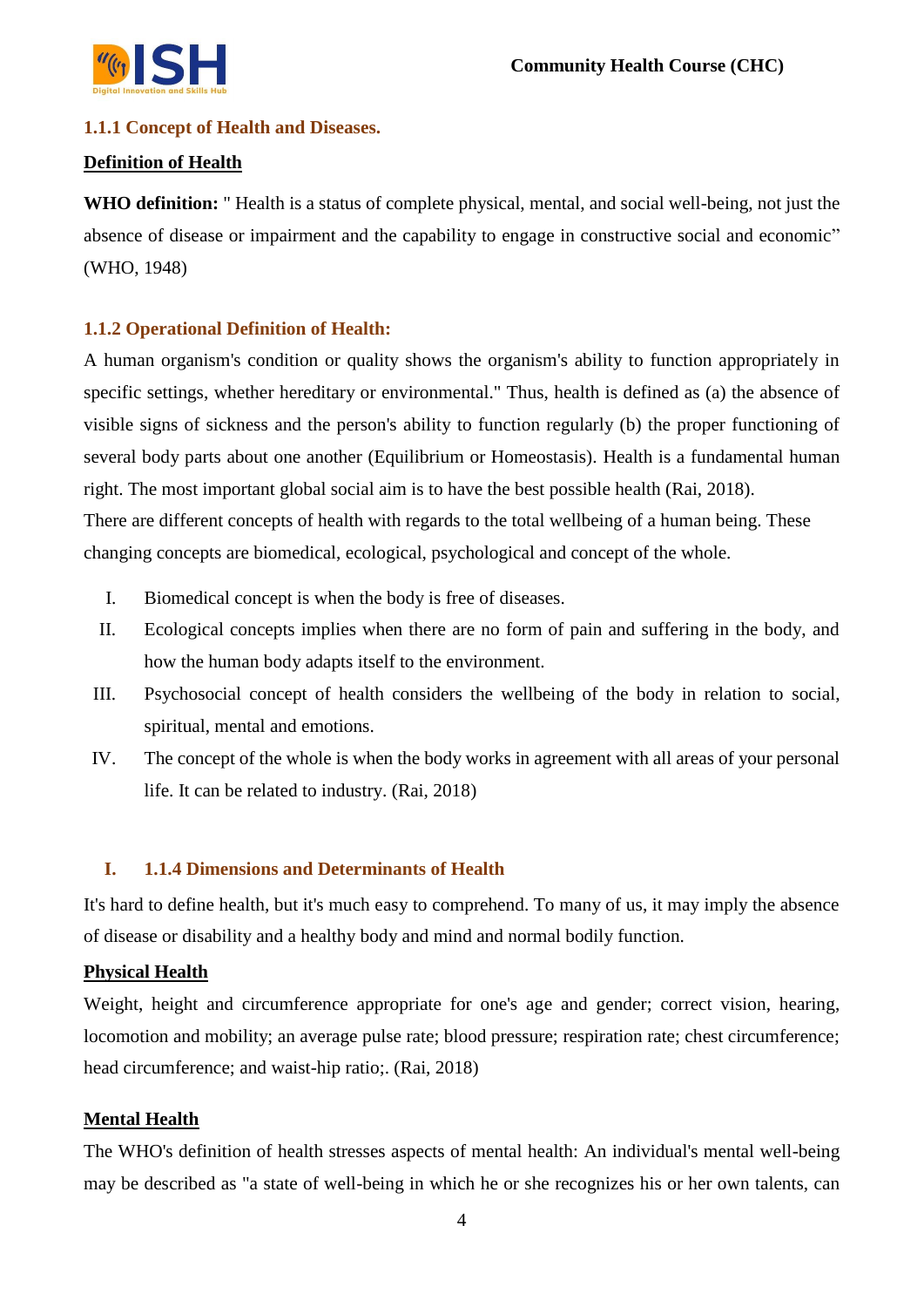

## **1.1.1 Concept of Health and Diseases.**

#### **Definition of Health**

**WHO definition:** " Health is a status of complete physical, mental, and social well-being, not just the absence of disease or impairment and the capability to engage in constructive social and economic" (WHO, 1948)

#### **1.1.2 Operational Definition of Health:**

A human organism's condition or quality shows the organism's ability to function appropriately in specific settings, whether hereditary or environmental." Thus, health is defined as (a) the absence of visible signs of sickness and the person's ability to function regularly (b) the proper functioning of several body parts about one another (Equilibrium or Homeostasis). Health is a fundamental human right. The most important global social aim is to have the best possible health (Rai, 2018). There are different concepts of health with regards to the total wellbeing of a human being. These changing concepts are biomedical, ecological, psychological and concept of the whole.

- I. Biomedical concept is when the body is free of diseases.
- II. Ecological concepts implies when there are no form of pain and suffering in the body, and how the human body adapts itself to the environment.
- III. Psychosocial concept of health considers the wellbeing of the body in relation to social, spiritual, mental and emotions.
- IV. The concept of the whole is when the body works in agreement with all areas of your personal life. It can be related to industry. (Rai, 2018)

#### **I. 1.1.4 Dimensions and Determinants of Health**

It's hard to define health, but it's much easy to comprehend. To many of us, it may imply the absence of disease or disability and a healthy body and mind and normal bodily function.

#### **Physical Health**

Weight, height and circumference appropriate for one's age and gender; correct vision, hearing, locomotion and mobility; an average pulse rate; blood pressure; respiration rate; chest circumference; head circumference; and waist-hip ratio;. (Rai, 2018)

#### **Mental Health**

The WHO's definition of health stresses aspects of mental health: An individual's mental well-being may be described as "a state of well-being in which he or she recognizes his or her own talents, can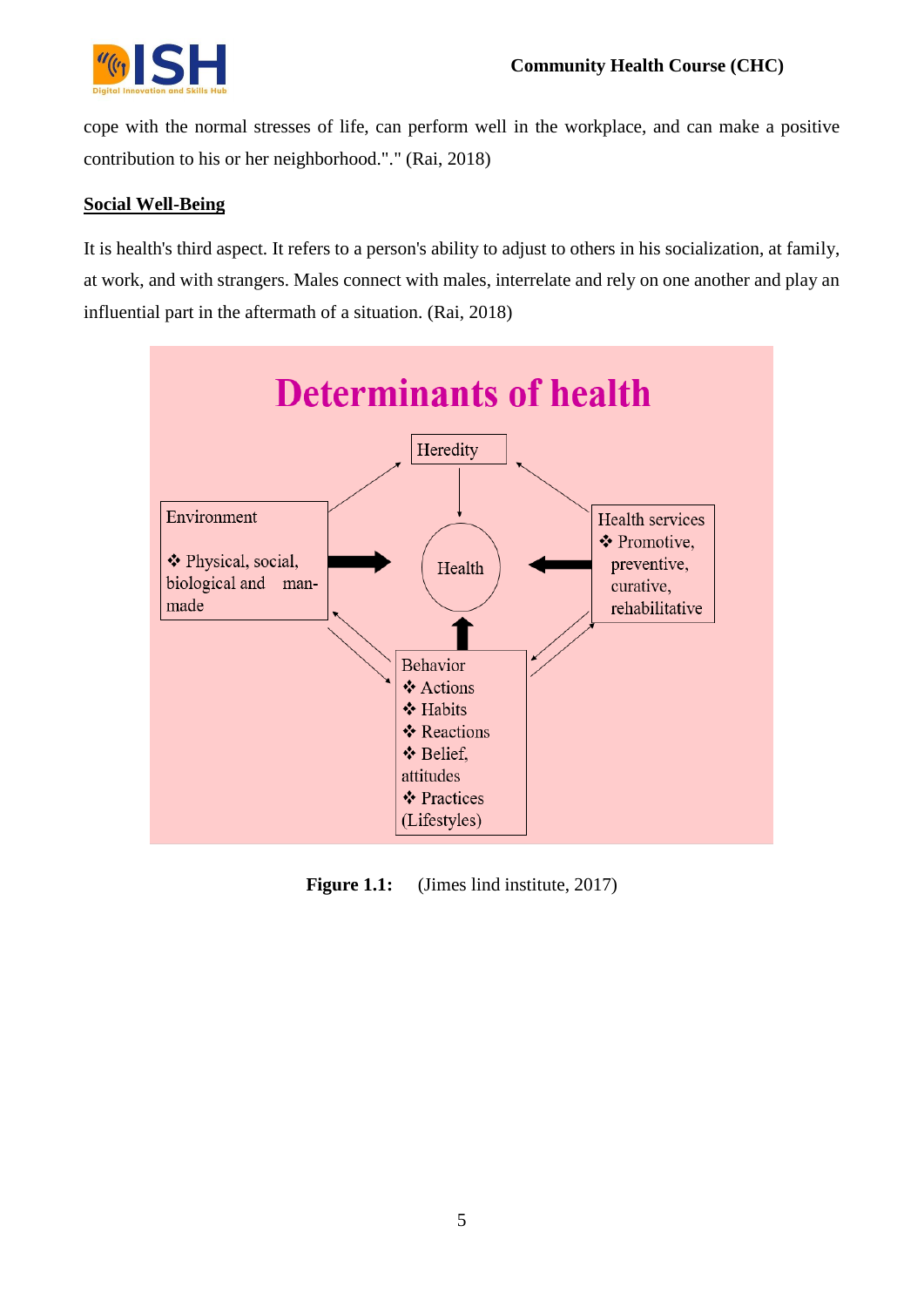

cope with the normal stresses of life, can perform well in the workplace, and can make a positive contribution to his or her neighborhood."." (Rai, 2018)

## **Social Well-Being**

It is health's third aspect. It refers to a person's ability to adjust to others in his socialization, at family, at work, and with strangers. Males connect with males, interrelate and rely on one another and play an influential part in the aftermath of a situation. (Rai, 2018)



**Figure 1.1:** (Jimes lind institute, 2017)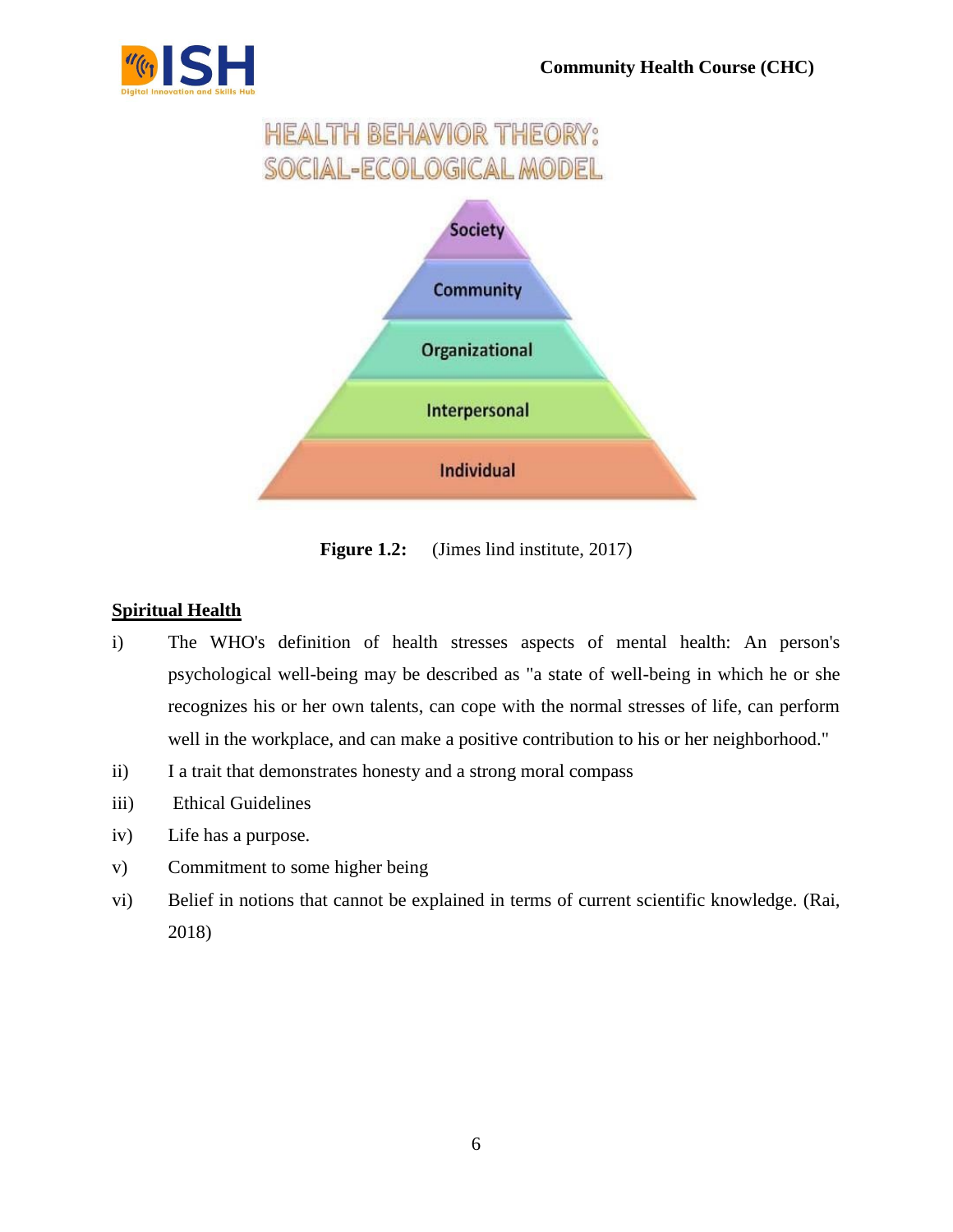



**Figure 1.2:** (Jimes lind institute, 2017)

## **Spiritual Health**

- i) The WHO's definition of health stresses aspects of mental health: An person's psychological well-being may be described as "a state of well-being in which he or she recognizes his or her own talents, can cope with the normal stresses of life, can perform well in the workplace, and can make a positive contribution to his or her neighborhood."
- ii) I a trait that demonstrates honesty and a strong moral compass
- iii) Ethical Guidelines
- iv) Life has a purpose.
- v) Commitment to some higher being
- vi) Belief in notions that cannot be explained in terms of current scientific knowledge. (Rai, 2018)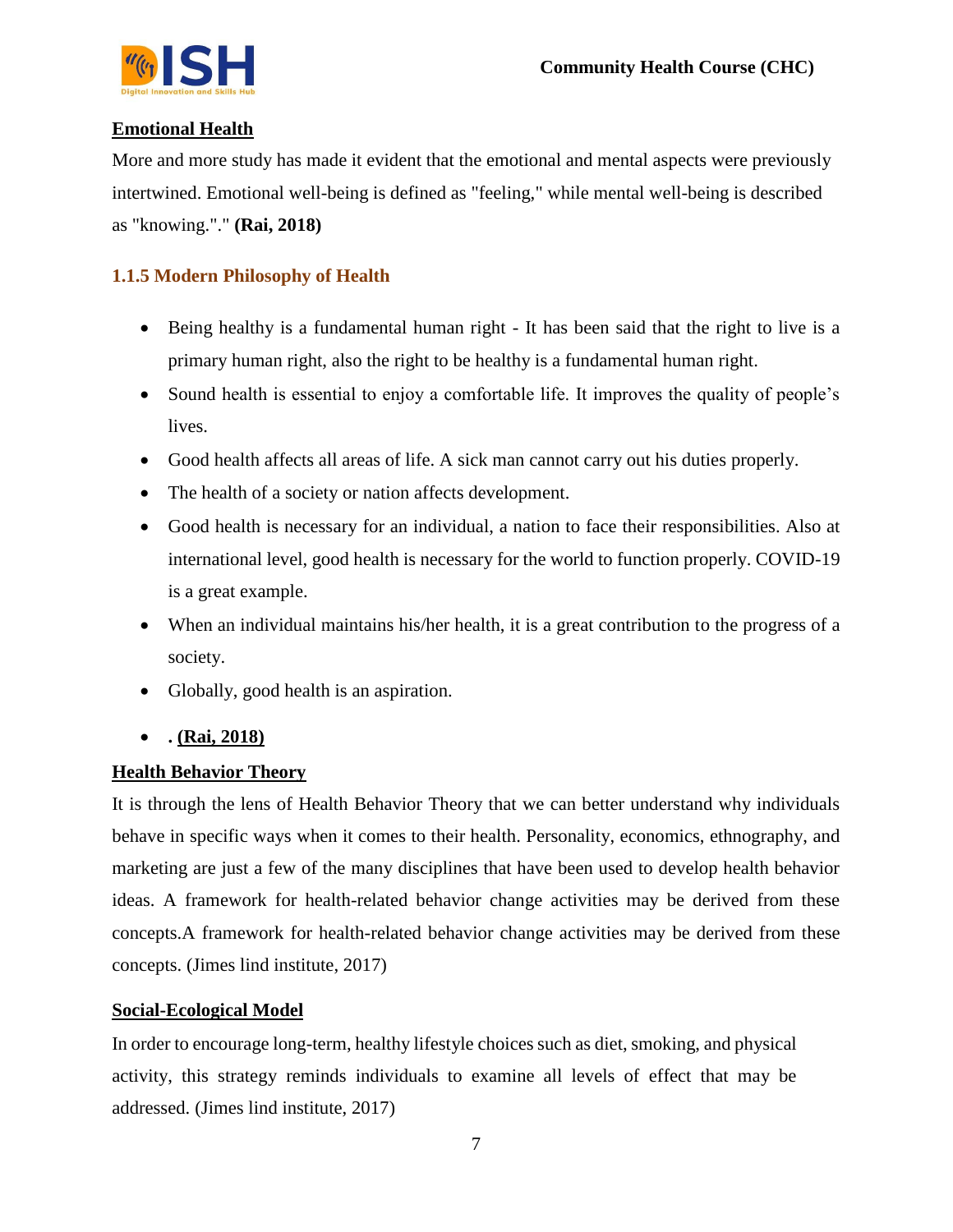

#### **Emotional Health**

More and more study has made it evident that the emotional and mental aspects were previously intertwined. Emotional well-being is defined as "feeling," while mental well-being is described as "knowing."." **(Rai, 2018)**

## **1.1.5 Modern Philosophy of Health**

- Being healthy is a fundamental human right It has been said that the right to live is a primary human right, also the right to be healthy is a fundamental human right.
- Sound health is essential to enjoy a comfortable life. It improves the quality of people's lives.
- Good health affects all areas of life. A sick man cannot carry out his duties properly.
- The health of a society or nation affects development.
- Good health is necessary for an individual, a nation to face their responsibilities. Also at international level, good health is necessary for the world to function properly. COVID-19 is a great example.
- When an individual maintains his/her health, it is a great contribution to the progress of a society.
- Globally, good health is an aspiration.
- **. (Rai, 2018)**

#### **Health Behavior Theory**

It is through the lens of Health Behavior Theory that we can better understand why individuals behave in specific ways when it comes to their health. Personality, economics, ethnography, and marketing are just a few of the many disciplines that have been used to develop health behavior ideas. A framework for health-related behavior change activities may be derived from these concepts.A framework for health-related behavior change activities may be derived from these concepts. (Jimes lind institute, 2017)

#### **Social-Ecological Model**

In order to encourage long-term, healthy lifestyle choices such as diet, smoking, and physical activity, this strategy reminds individuals to examine all levels of effect that may be addressed. (Jimes lind institute, 2017)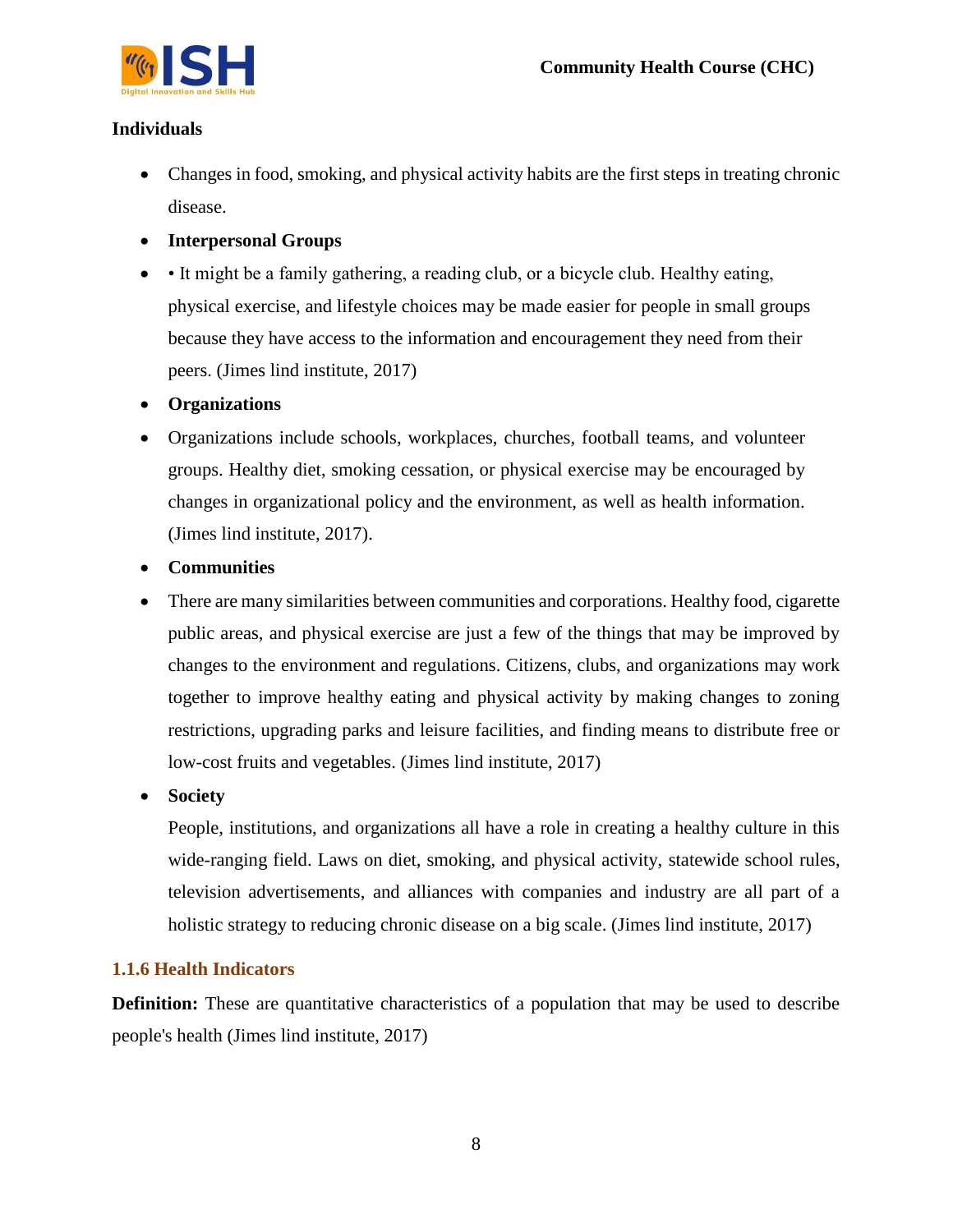

## **Individuals**

- Changes in food, smoking, and physical activity habits are the first steps in treating chronic disease.
- **Interpersonal Groups**
- It might be a family gathering, a reading club, or a bicycle club. Healthy eating, physical exercise, and lifestyle choices may be made easier for people in small groups because they have access to the information and encouragement they need from their peers. (Jimes lind institute, 2017)
- **Organizations**
- Organizations include schools, workplaces, churches, football teams, and volunteer groups. Healthy diet, smoking cessation, or physical exercise may be encouraged by changes in organizational policy and the environment, as well as health information. (Jimes lind institute, 2017).
- **Communities**
- There are many similarities between communities and corporations. Healthy food, cigarette public areas, and physical exercise are just a few of the things that may be improved by changes to the environment and regulations. Citizens, clubs, and organizations may work together to improve healthy eating and physical activity by making changes to zoning restrictions, upgrading parks and leisure facilities, and finding means to distribute free or low-cost fruits and vegetables. (Jimes lind institute, 2017)
- **Society**

People, institutions, and organizations all have a role in creating a healthy culture in this wide-ranging field. Laws on diet, smoking, and physical activity, statewide school rules, television advertisements, and alliances with companies and industry are all part of a holistic strategy to reducing chronic disease on a big scale. (Jimes lind institute, 2017)

## **1.1.6 Health Indicators**

**Definition:** These are quantitative characteristics of a population that may be used to describe people's health (Jimes lind institute, 2017)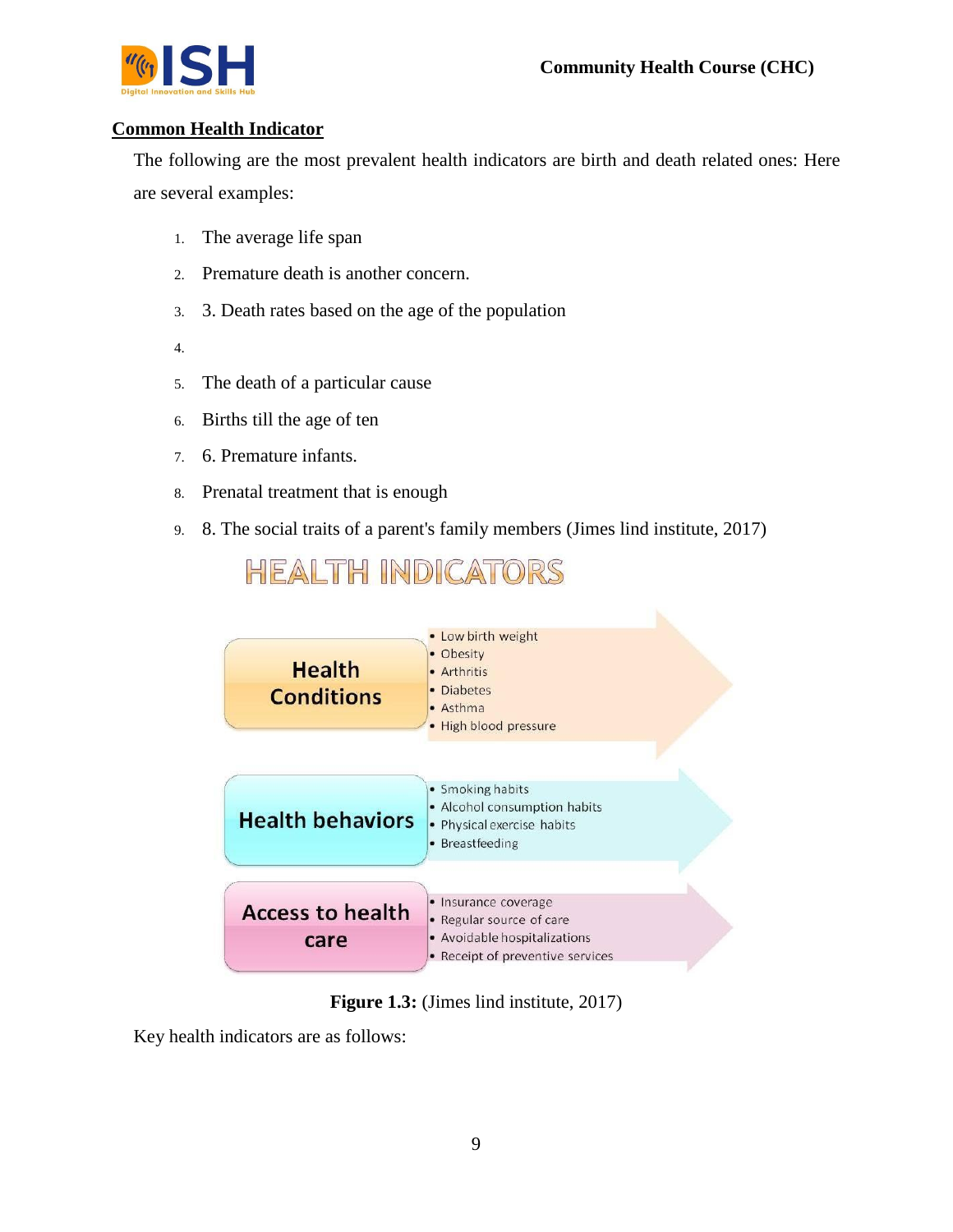

### **Common Health Indicator**

The following are the most prevalent health indicators are birth and death related ones: Here are several examples:

- 1. The average life span
- 2. Premature death is another concern.
- 3. 3. Death rates based on the age of the population
- 4.
- 5. The death of a particular cause
- 6. Births till the age of ten
- 7. 6. Premature infants.
- 8. Prenatal treatment that is enough
- 9. 8. The social traits of a parent's family members (Jimes lind institute, 2017)

**HEALTH INDICATORS** 



**Figure 1.3:** (Jimes lind institute, 2017)

Key health indicators are as follows: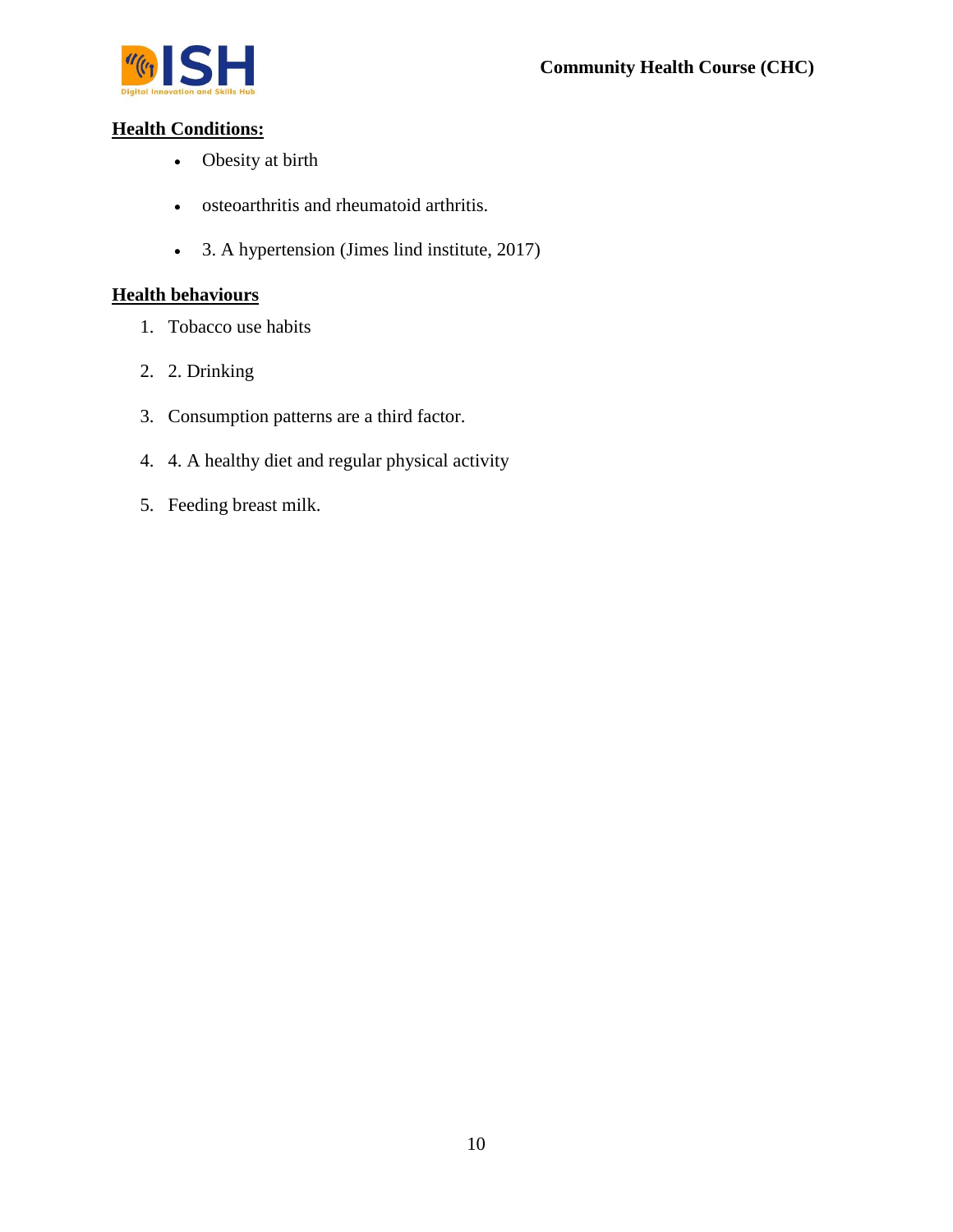

## **Health Conditions:**

- Obesity at birth
- osteoarthritis and rheumatoid arthritis.
- 3. A hypertension (Jimes lind institute, 2017)

## **Health behaviours**

- 1. Tobacco use habits
- 2. 2. Drinking
- 3. Consumption patterns are a third factor.
- 4. 4. A healthy diet and regular physical activity
- 5. Feeding breast milk.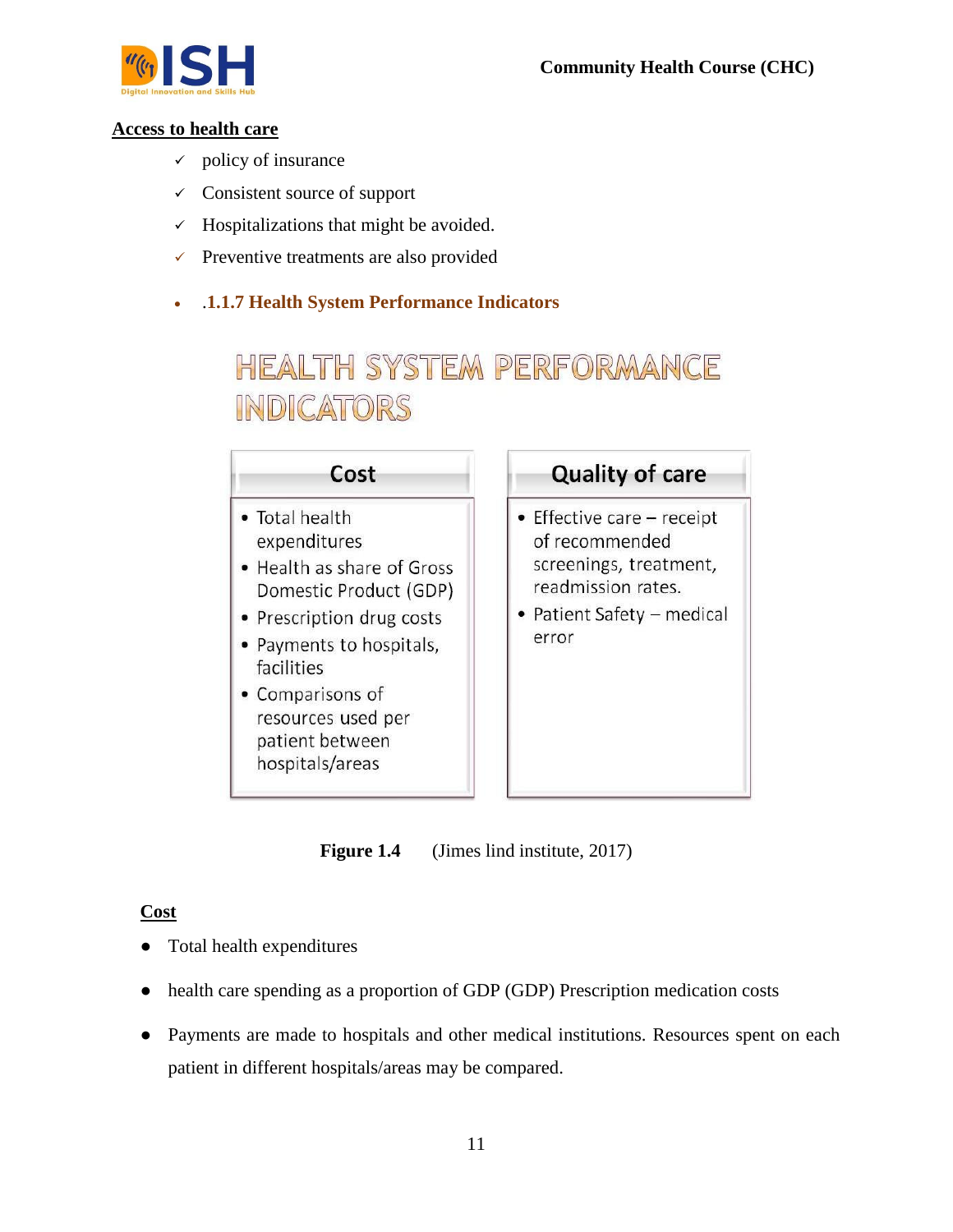

#### **Access to health care**

- $\checkmark$  policy of insurance
- $\checkmark$  Consistent source of support
- $\checkmark$  Hospitalizations that might be avoided.
- $\checkmark$  Preventive treatments are also provided
- .**1.1.7 Health System Performance Indicators**

# HEALTH SYSTEM PERFORMANCE INDICATORS

| Cost                                                                                                                                                                                                                                          | <b>Quality of care</b>                                                                                                              |
|-----------------------------------------------------------------------------------------------------------------------------------------------------------------------------------------------------------------------------------------------|-------------------------------------------------------------------------------------------------------------------------------------|
| • Total health<br>expenditures<br>• Health as share of Gross<br>Domestic Product (GDP)<br>• Prescription drug costs<br>• Payments to hospitals,<br>facilities<br>• Comparisons of<br>resources used per<br>patient between<br>hospitals/areas | • Effective care - receipt<br>of recommended<br>screenings, treatment,<br>readmission rates.<br>• Patient Safety – medical<br>error |

**Figure 1.4** (Jimes lind institute, 2017)

#### **Cost**

- Total health expenditures
- health care spending as a proportion of GDP (GDP) Prescription medication costs
- Payments are made to hospitals and other medical institutions. Resources spent on each patient in different hospitals/areas may be compared.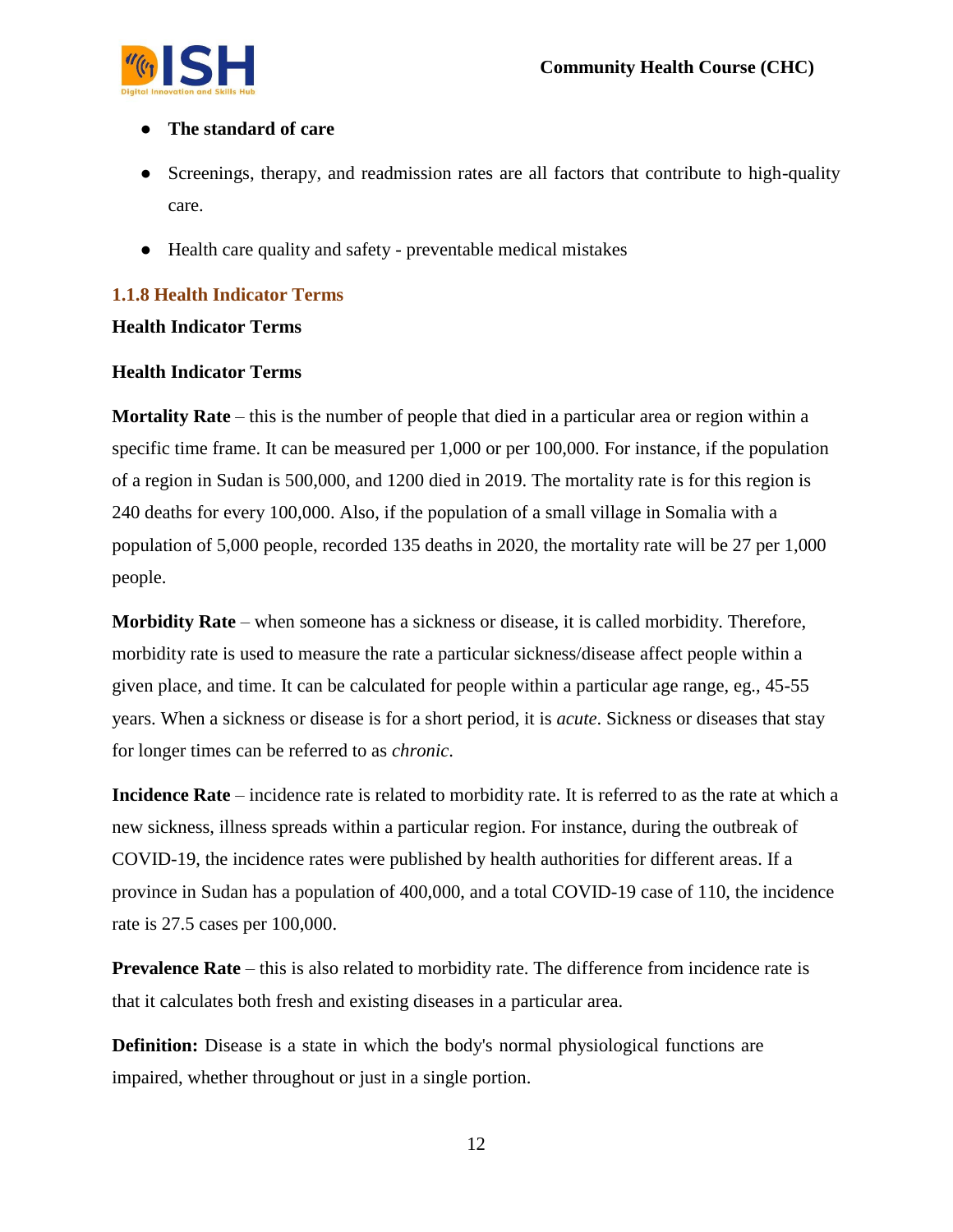

### ● **The standard of care**

- Screenings, therapy, and readmission rates are all factors that contribute to high-quality care.
- Health care quality and safety preventable medical mistakes

## **1.1.8 Health Indicator Terms**

#### **Health Indicator Terms**

#### **Health Indicator Terms**

**Mortality Rate** – this is the number of people that died in a particular area or region within a specific time frame. It can be measured per 1,000 or per 100,000. For instance, if the population of a region in Sudan is 500,000, and 1200 died in 2019. The mortality rate is for this region is 240 deaths for every 100,000. Also, if the population of a small village in Somalia with a population of 5,000 people, recorded 135 deaths in 2020, the mortality rate will be 27 per 1,000 people.

**Morbidity Rate** – when someone has a sickness or disease, it is called morbidity. Therefore, morbidity rate is used to measure the rate a particular sickness/disease affect people within a given place, and time. It can be calculated for people within a particular age range, eg., 45-55 years. When a sickness or disease is for a short period, it is *acute*. Sickness or diseases that stay for longer times can be referred to as *chronic*.

**Incidence Rate** – incidence rate is related to morbidity rate. It is referred to as the rate at which a new sickness, illness spreads within a particular region. For instance, during the outbreak of COVID-19, the incidence rates were published by health authorities for different areas. If a province in Sudan has a population of 400,000, and a total COVID-19 case of 110, the incidence rate is 27.5 cases per 100,000.

**Prevalence Rate** – this is also related to morbidity rate. The difference from incidence rate is that it calculates both fresh and existing diseases in a particular area.

**Definition:** Disease is a state in which the body's normal physiological functions are impaired, whether throughout or just in a single portion.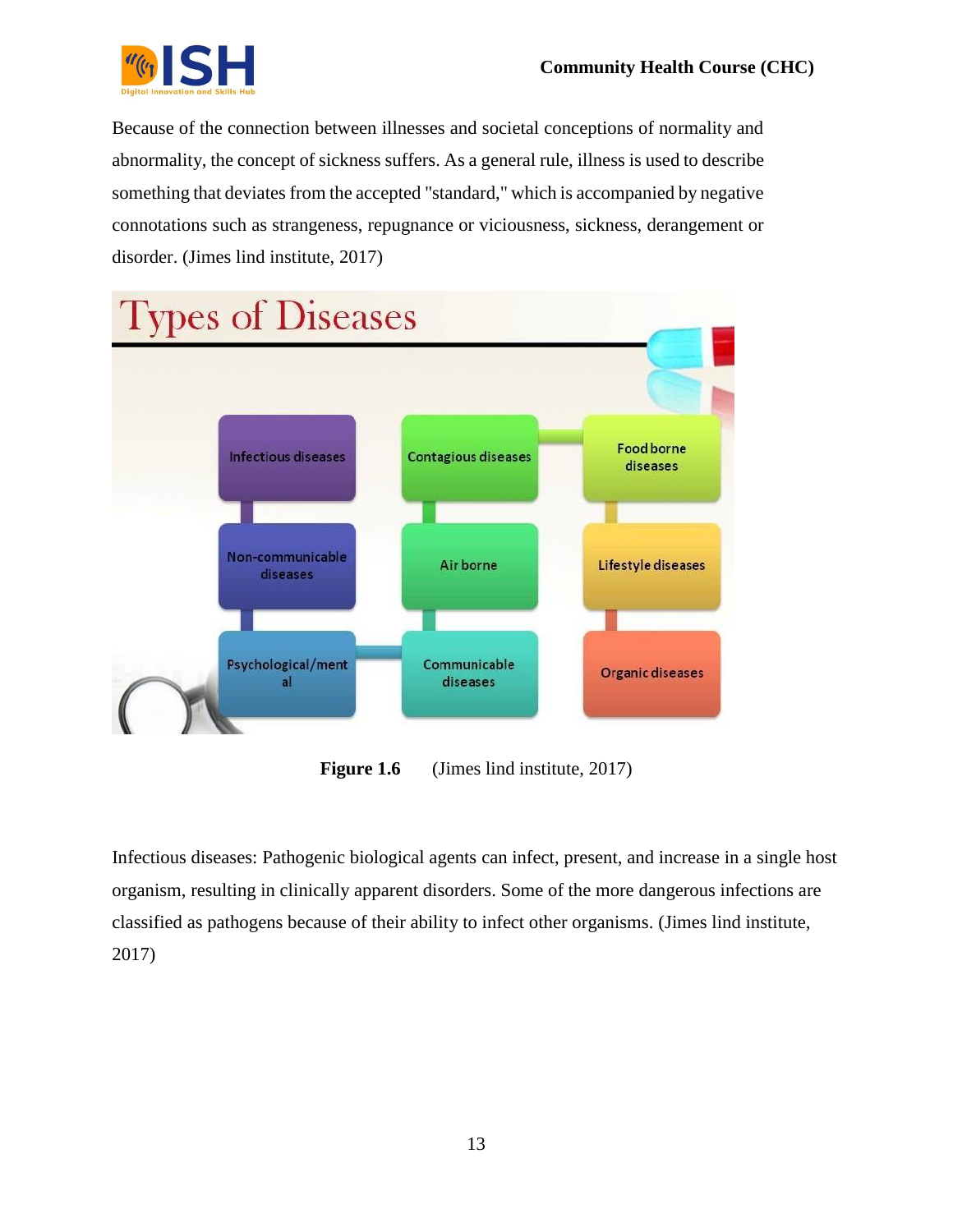

Because of the connection between illnesses and societal conceptions of normality and abnormality, the concept of sickness suffers. As a general rule, illness is used to describe something that deviates from the accepted "standard," which is accompanied by negative connotations such as strangeness, repugnance or viciousness, sickness, derangement or disorder. (Jimes lind institute, 2017)



**Figure 1.6** (Jimes lind institute, 2017)

Infectious diseases: Pathogenic biological agents can infect, present, and increase in a single host organism, resulting in clinically apparent disorders. Some of the more dangerous infections are classified as pathogens because of their ability to infect other organisms. (Jimes lind institute, 2017)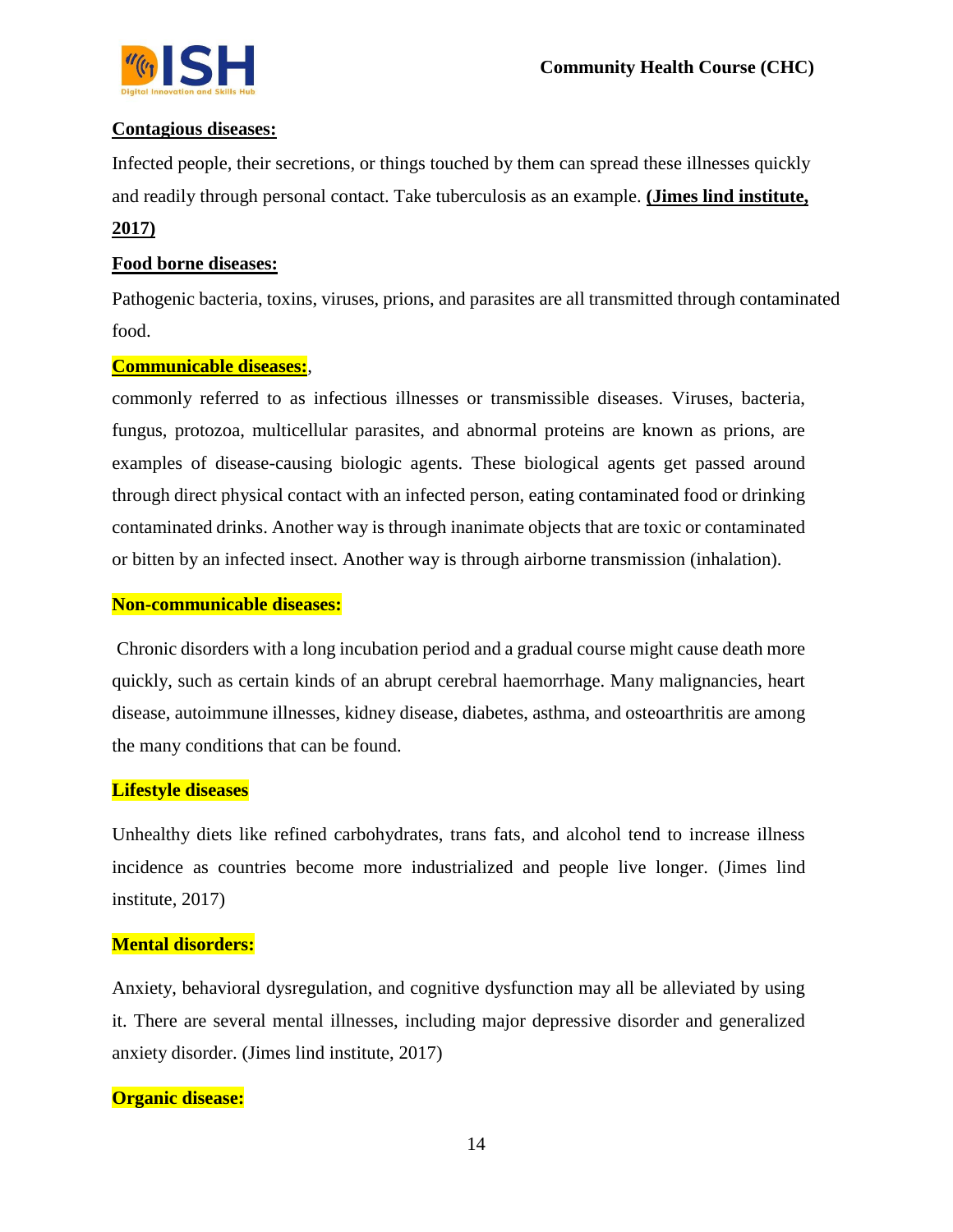#### **Contagious diseases:**

Infected people, their secretions, or things touched by them can spread these illnesses quickly and readily through personal contact. Take tuberculosis as an example. **(Jimes lind institute,** 

#### **2017)**

#### **Food borne diseases:**

Pathogenic bacteria, toxins, viruses, prions, and parasites are all transmitted through contaminated food.

#### **Communicable diseases:**,

commonly referred to as infectious illnesses or transmissible diseases. Viruses, bacteria, fungus, protozoa, multicellular parasites, and abnormal proteins are known as prions, are examples of disease-causing biologic agents. These biological agents get passed around through direct physical contact with an infected person, eating contaminated food or drinking contaminated drinks. Another way is through inanimate objects that are toxic or contaminated or bitten by an infected insect. Another way is through airborne transmission (inhalation).

#### **Non-communicable diseases:**

Chronic disorders with a long incubation period and a gradual course might cause death more quickly, such as certain kinds of an abrupt cerebral haemorrhage. Many malignancies, heart disease, autoimmune illnesses, kidney disease, diabetes, asthma, and osteoarthritis are among the many conditions that can be found.

#### **Lifestyle diseases**

Unhealthy diets like refined carbohydrates, trans fats, and alcohol tend to increase illness incidence as countries become more industrialized and people live longer. (Jimes lind institute, 2017)

#### **Mental disorders:**

Anxiety, behavioral dysregulation, and cognitive dysfunction may all be alleviated by using it. There are several mental illnesses, including major depressive disorder and generalized anxiety disorder. (Jimes lind institute, 2017)

#### **Organic disease:**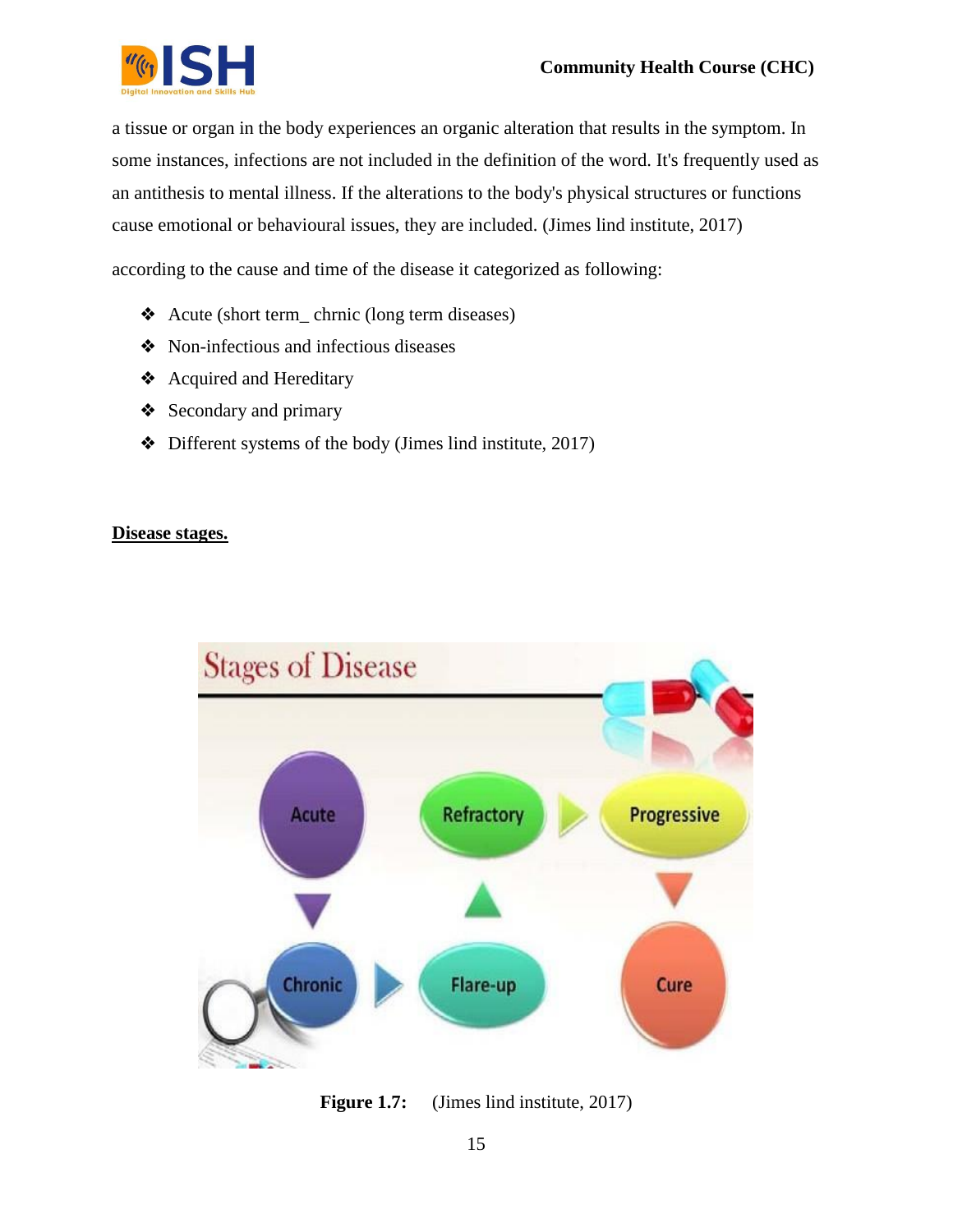

a tissue or organ in the body experiences an organic alteration that results in the symptom. In some instances, infections are not included in the definition of the word. It's frequently used as an antithesis to mental illness. If the alterations to the body's physical structures or functions cause emotional or behavioural issues, they are included. (Jimes lind institute, 2017)

according to the cause and time of the disease it categorized as following:

- ❖ Acute (short term\_ chrnic (long term diseases)
- ❖ Non-infectious and infectious diseases
- ❖ Acquired and Hereditary
- ❖ Secondary and primary
- ❖ Different systems of the body (Jimes lind institute, 2017)

#### **Disease stages.**



**Figure 1.7:** (Jimes lind institute, 2017)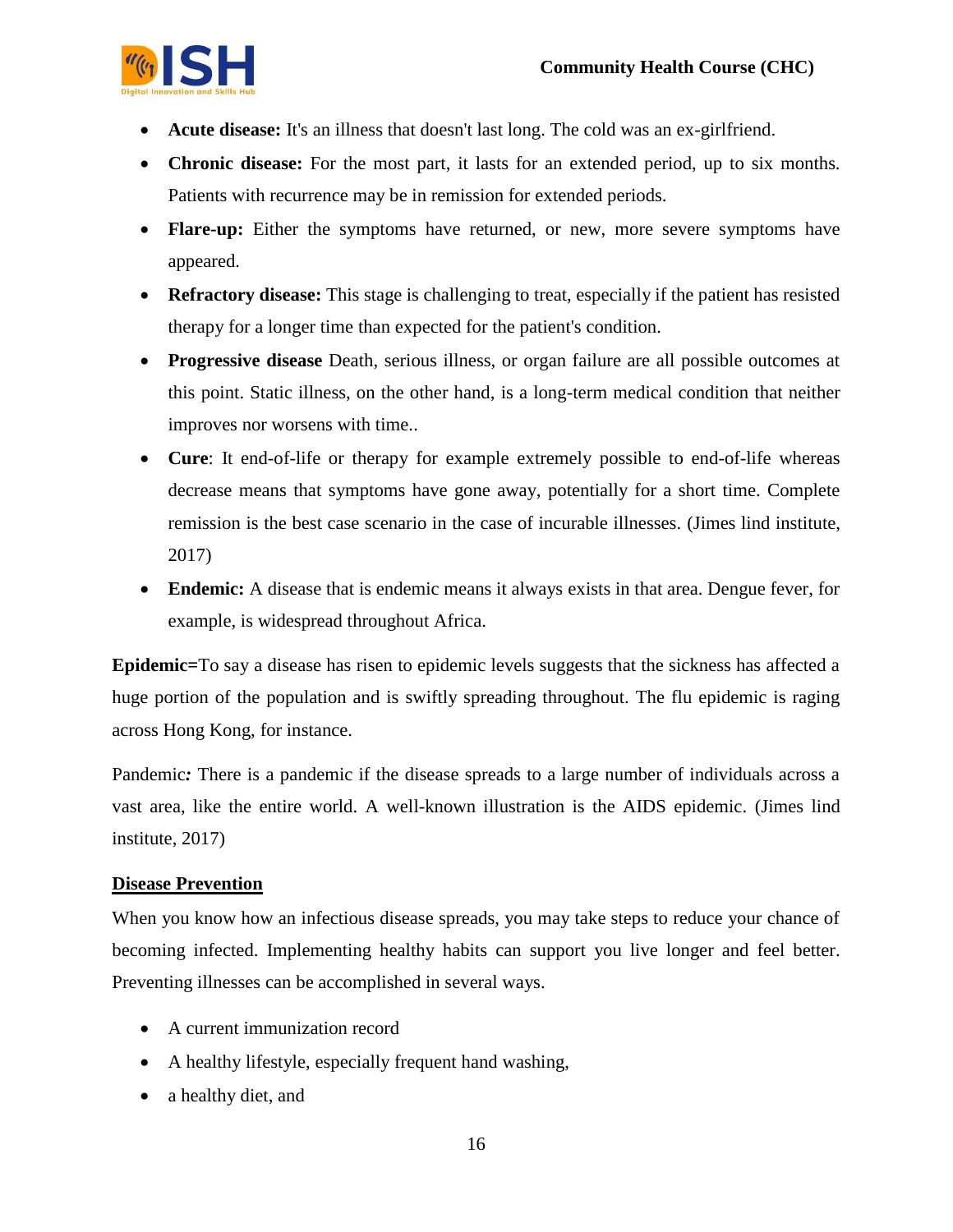

- **Acute disease:** It's an illness that doesn't last long. The cold was an ex-girlfriend.
- **Chronic disease:** For the most part, it lasts for an extended period, up to six months. Patients with recurrence may be in remission for extended periods.
- **Flare-up:** Either the symptoms have returned, or new, more severe symptoms have appeared.
- **Refractory disease:** This stage is challenging to treat, especially if the patient has resisted therapy for a longer time than expected for the patient's condition.
- **Progressive disease** Death, serious illness, or organ failure are all possible outcomes at this point. Static illness, on the other hand, is a long-term medical condition that neither improves nor worsens with time..
- **Cure**: It end-of-life or therapy for example extremely possible to end-of-life whereas decrease means that symptoms have gone away, potentially for a short time. Complete remission is the best case scenario in the case of incurable illnesses. (Jimes lind institute, 2017)
- **Endemic:** A disease that is endemic means it always exists in that area. Dengue fever, for example, is widespread throughout Africa.

**Epidemic=**To say a disease has risen to epidemic levels suggests that the sickness has affected a huge portion of the population and is swiftly spreading throughout. The flu epidemic is raging across Hong Kong, for instance.

Pandemic: There is a pandemic if the disease spreads to a large number of individuals across a vast area, like the entire world. A well-known illustration is the AIDS epidemic. (Jimes lind institute, 2017)

#### **Disease Prevention**

When you know how an infectious disease spreads, you may take steps to reduce your chance of becoming infected. Implementing healthy habits can support you live longer and feel better. Preventing illnesses can be accomplished in several ways.

- A current immunization record
- A healthy lifestyle, especially frequent hand washing,
- a healthy diet, and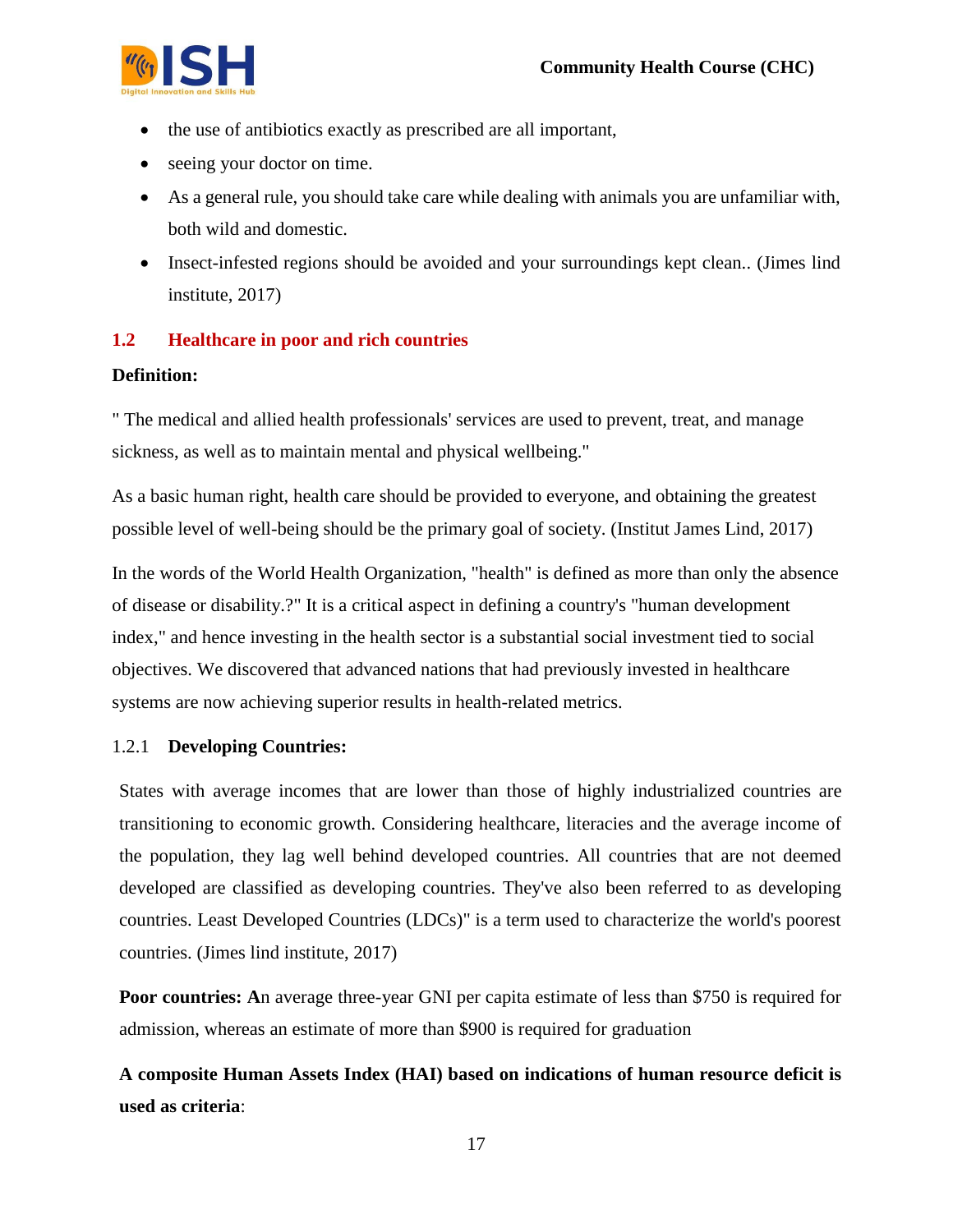

- the use of antibiotics exactly as prescribed are all important,
- seeing your doctor on time.
- As a general rule, you should take care while dealing with animals you are unfamiliar with, both wild and domestic.
- Insect-infested regions should be avoided and your surroundings kept clean.. (Jimes lind institute, 2017)

## **1.2 Healthcare in poor and rich countries**

#### **Definition:**

" The medical and allied health professionals' services are used to prevent, treat, and manage sickness, as well as to maintain mental and physical wellbeing."

As a basic human right, health care should be provided to everyone, and obtaining the greatest possible level of well-being should be the primary goal of society. (Institut James Lind, 2017)

In the words of the World Health Organization, "health" is defined as more than only the absence of disease or disability.?" It is a critical aspect in defining a country's "human development index," and hence investing in the health sector is a substantial social investment tied to social objectives. We discovered that advanced nations that had previously invested in healthcare systems are now achieving superior results in health-related metrics.

#### 1.2.1 **Developing Countries:**

States with average incomes that are lower than those of highly industrialized countries are transitioning to economic growth. Considering healthcare, literacies and the average income of the population, they lag well behind developed countries. All countries that are not deemed developed are classified as developing countries. They've also been referred to as developing countries. Least Developed Countries (LDCs)" is a term used to characterize the world's poorest countries. (Jimes lind institute, 2017)

**Poor countries:** An average three-year GNI per capita estimate of less than \$750 is required for admission, whereas an estimate of more than \$900 is required for graduation

**A composite Human Assets Index (HAI) based on indications of human resource deficit is used as criteria**: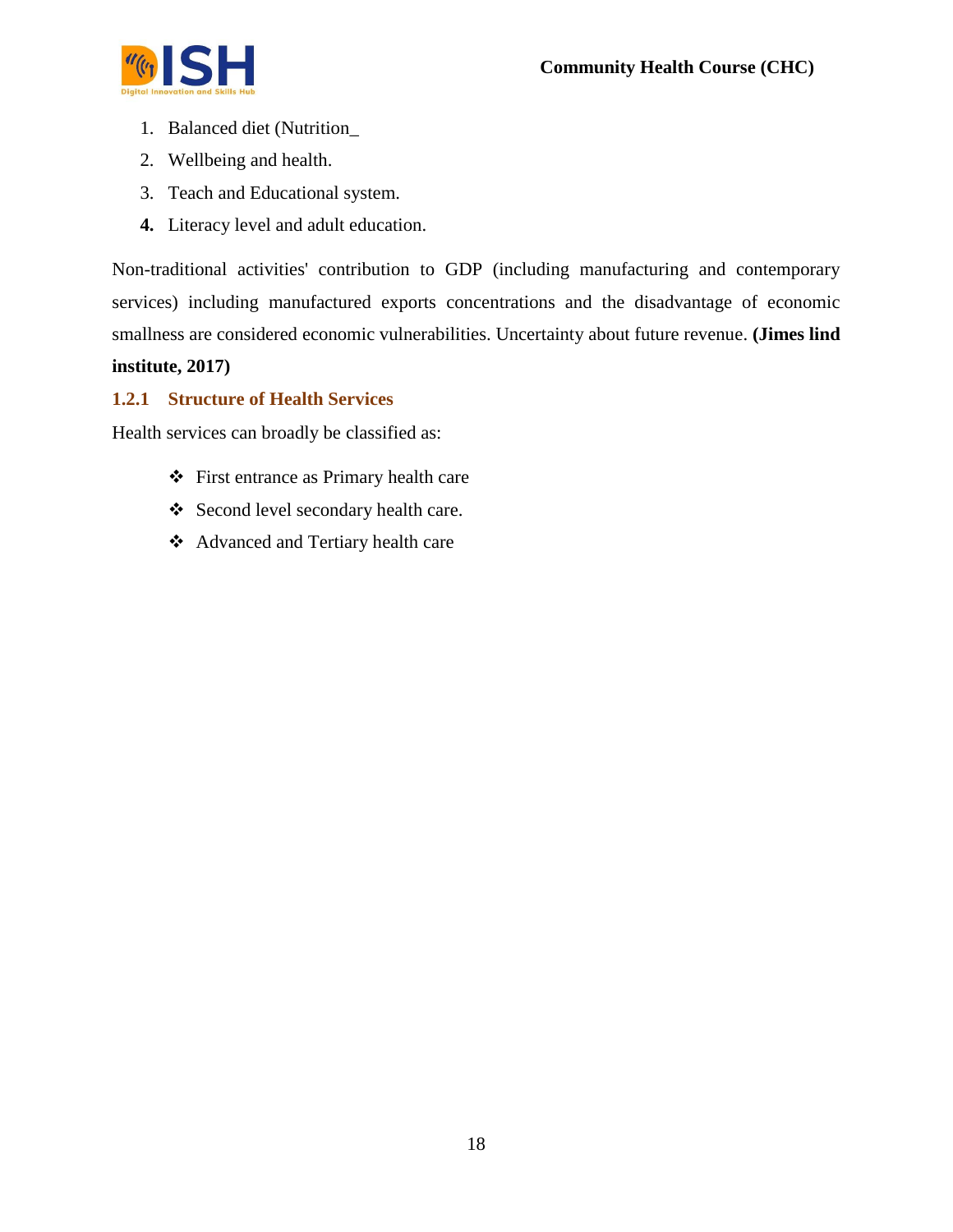

- 1. Balanced diet (Nutrition\_
- 2. Wellbeing and health.
- 3. Teach and Educational system.
- **4.** Literacy level and adult education.

Non-traditional activities' contribution to GDP (including manufacturing and contemporary services) including manufactured exports concentrations and the disadvantage of economic smallness are considered economic vulnerabilities. Uncertainty about future revenue. **(Jimes lind** 

#### **institute, 2017)**

#### **1.2.1 Structure of Health Services**

Health services can broadly be classified as:

- First entrance as Primary health care
- ❖ Second level secondary health care.
- Advanced and Tertiary health care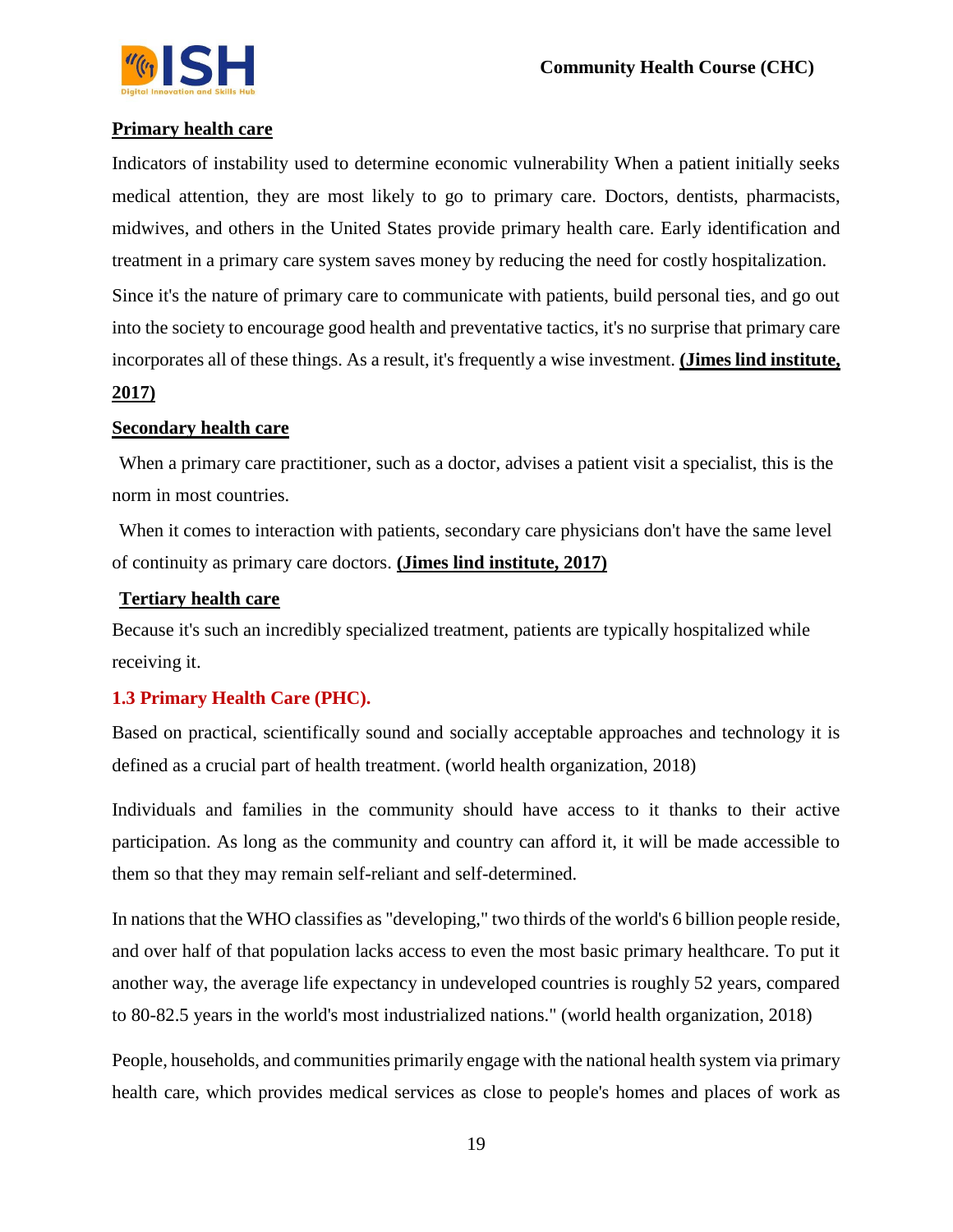

#### **Primary health care**

Indicators of instability used to determine economic vulnerability When a patient initially seeks medical attention, they are most likely to go to primary care. Doctors, dentists, pharmacists, midwives, and others in the United States provide primary health care. Early identification and treatment in a primary care system saves money by reducing the need for costly hospitalization. Since it's the nature of primary care to communicate with patients, build personal ties, and go out

into the society to encourage good health and preventative tactics, it's no surprise that primary care incorporates all of these things. As a result, it's frequently a wise investment. **(Jimes lind institute,** 

#### **2017)**

#### **Secondary health care**

When a primary care practitioner, such as a doctor, advises a patient visit a specialist, this is the norm in most countries.

When it comes to interaction with patients, secondary care physicians don't have the same level of continuity as primary care doctors. **(Jimes lind institute, 2017)**

#### **Tertiary health care**

Because it's such an incredibly specialized treatment, patients are typically hospitalized while receiving it.

#### **1.3 Primary Health Care (PHC).**

Based on practical, scientifically sound and socially acceptable approaches and technology it is defined as a crucial part of health treatment. (world health organization, 2018)

Individuals and families in the community should have access to it thanks to their active participation. As long as the community and country can afford it, it will be made accessible to them so that they may remain self-reliant and self-determined.

In nations that the WHO classifies as "developing," two thirds of the world's 6 billion people reside, and over half of that population lacks access to even the most basic primary healthcare. To put it another way, the average life expectancy in undeveloped countries is roughly 52 years, compared to 80-82.5 years in the world's most industrialized nations." (world health organization, 2018)

People, households, and communities primarily engage with the national health system via primary health care, which provides medical services as close to people's homes and places of work as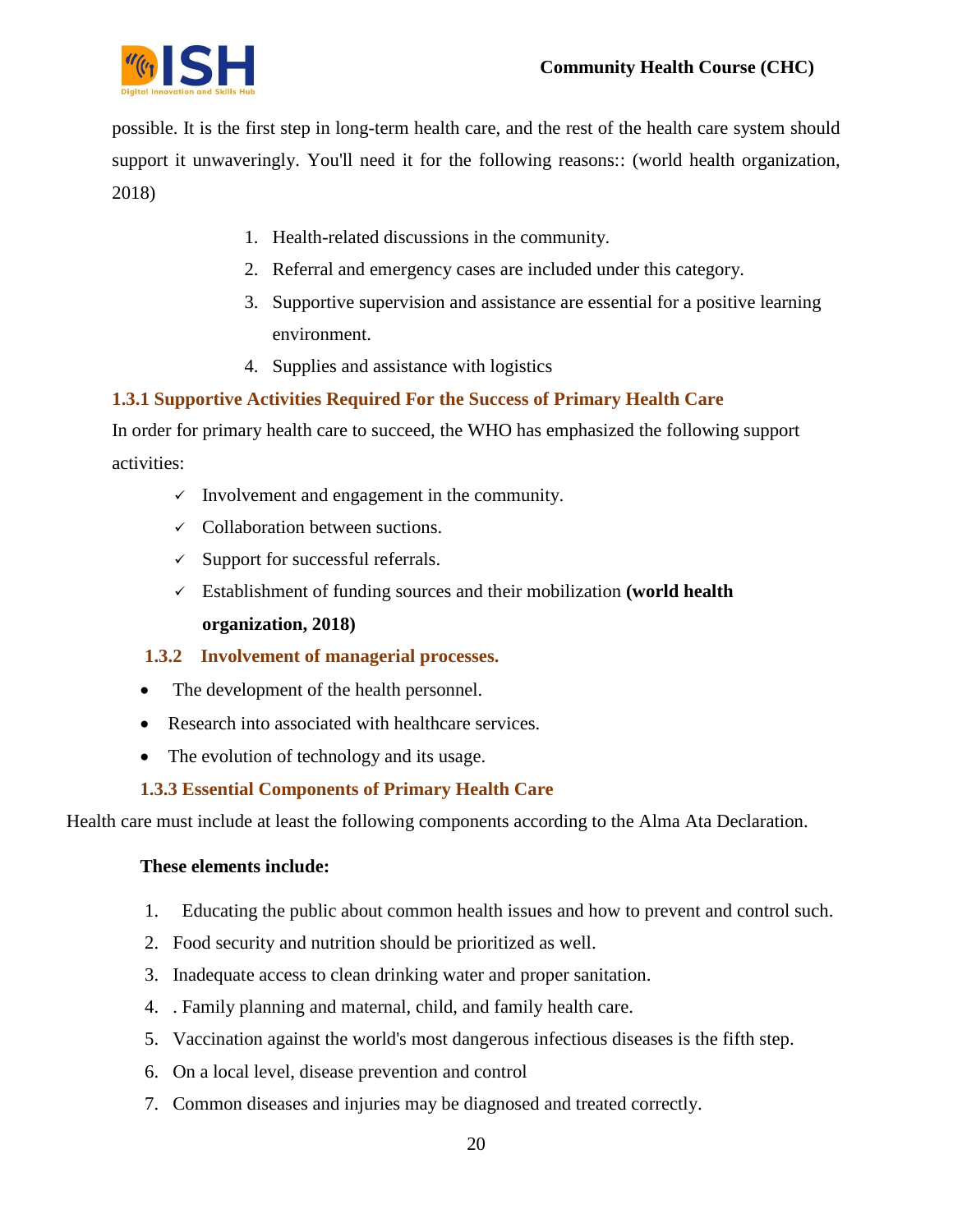

possible. It is the first step in long-term health care, and the rest of the health care system should support it unwaveringly. You'll need it for the following reasons:: (world health organization, 2018)

- 1. Health-related discussions in the community.
- 2. Referral and emergency cases are included under this category.
- 3. Supportive supervision and assistance are essential for a positive learning environment.
- 4. Supplies and assistance with logistics

## **1.3.1 Supportive Activities Required For the Success of Primary Health Care**

In order for primary health care to succeed, the WHO has emphasized the following support activities:

- $\checkmark$  Involvement and engagement in the community.
- $\checkmark$  Collaboration between suctions.
- $\checkmark$  Support for successful referrals.
- Establishment of funding sources and their mobilization **(world health organization, 2018)**

#### **1.3.2 Involvement of managerial processes.**

- The development of the health personnel.
- Research into associated with healthcare services.
- The evolution of technology and its usage.

#### **1.3.3 Essential Components of Primary Health Care**

Health care must include at least the following components according to the Alma Ata Declaration.

#### **These elements include:**

- 1. Educating the public about common health issues and how to prevent and control such.
- 2. Food security and nutrition should be prioritized as well.
- 3. Inadequate access to clean drinking water and proper sanitation.
- 4. . Family planning and maternal, child, and family health care.
- 5. Vaccination against the world's most dangerous infectious diseases is the fifth step.
- 6. On a local level, disease prevention and control
- 7. Common diseases and injuries may be diagnosed and treated correctly.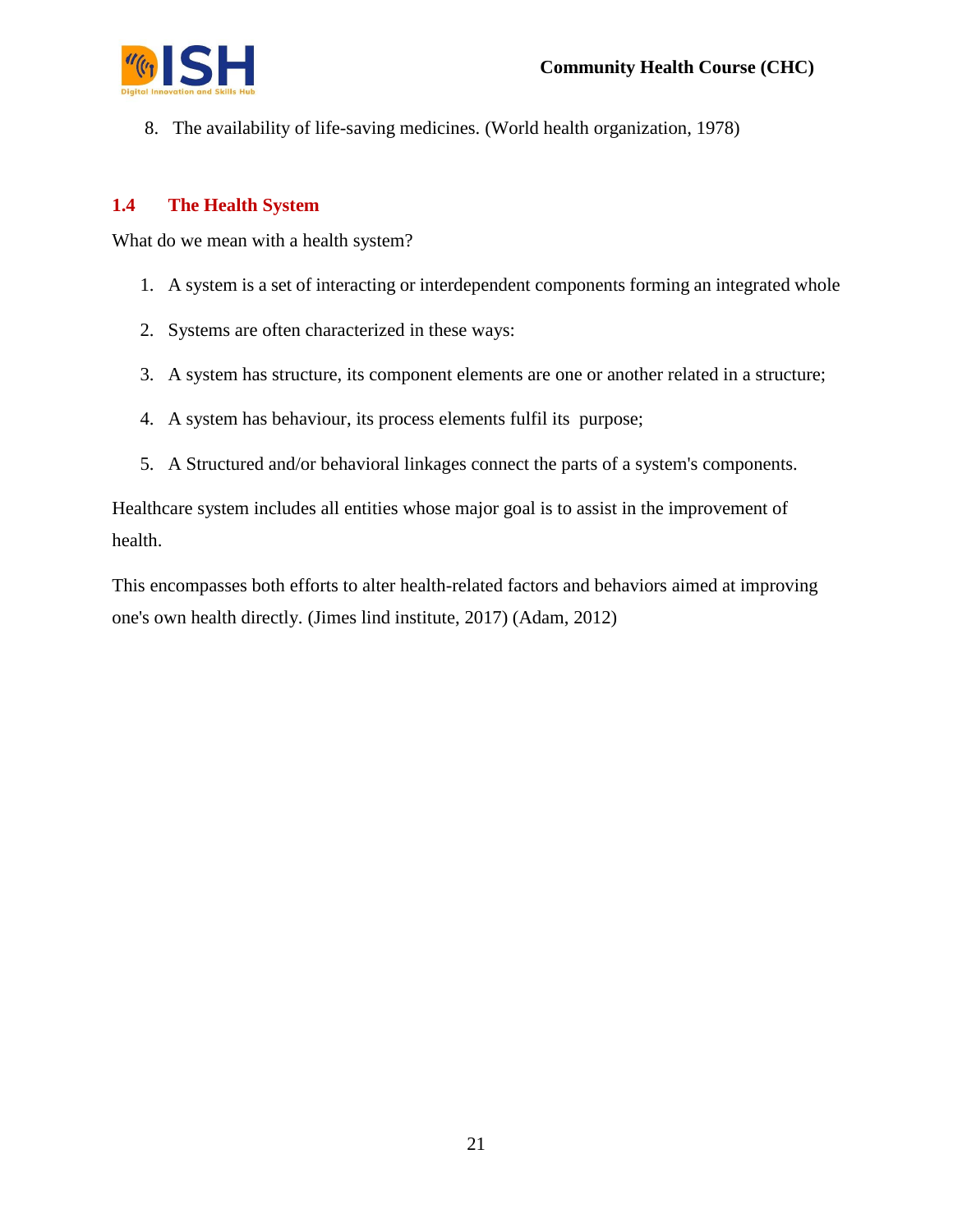

8. The availability of life-saving medicines. (World health organization, 1978)

#### **1.4 The Health System**

What do we mean with a health system?

- 1. A system is a set of interacting or interdependent components forming an integrated whole
- 2. Systems are often characterized in these ways:
- 3. A system has structure, its component elements are one or another related in a structure;
- 4. A system has behaviour, its process elements fulfil its purpose;
- 5. A Structured and/or behavioral linkages connect the parts of a system's components.

Healthcare system includes all entities whose major goal is to assist in the improvement of health.

This encompasses both efforts to alter health-related factors and behaviors aimed at improving one's own health directly. (Jimes lind institute, 2017) (Adam, 2012)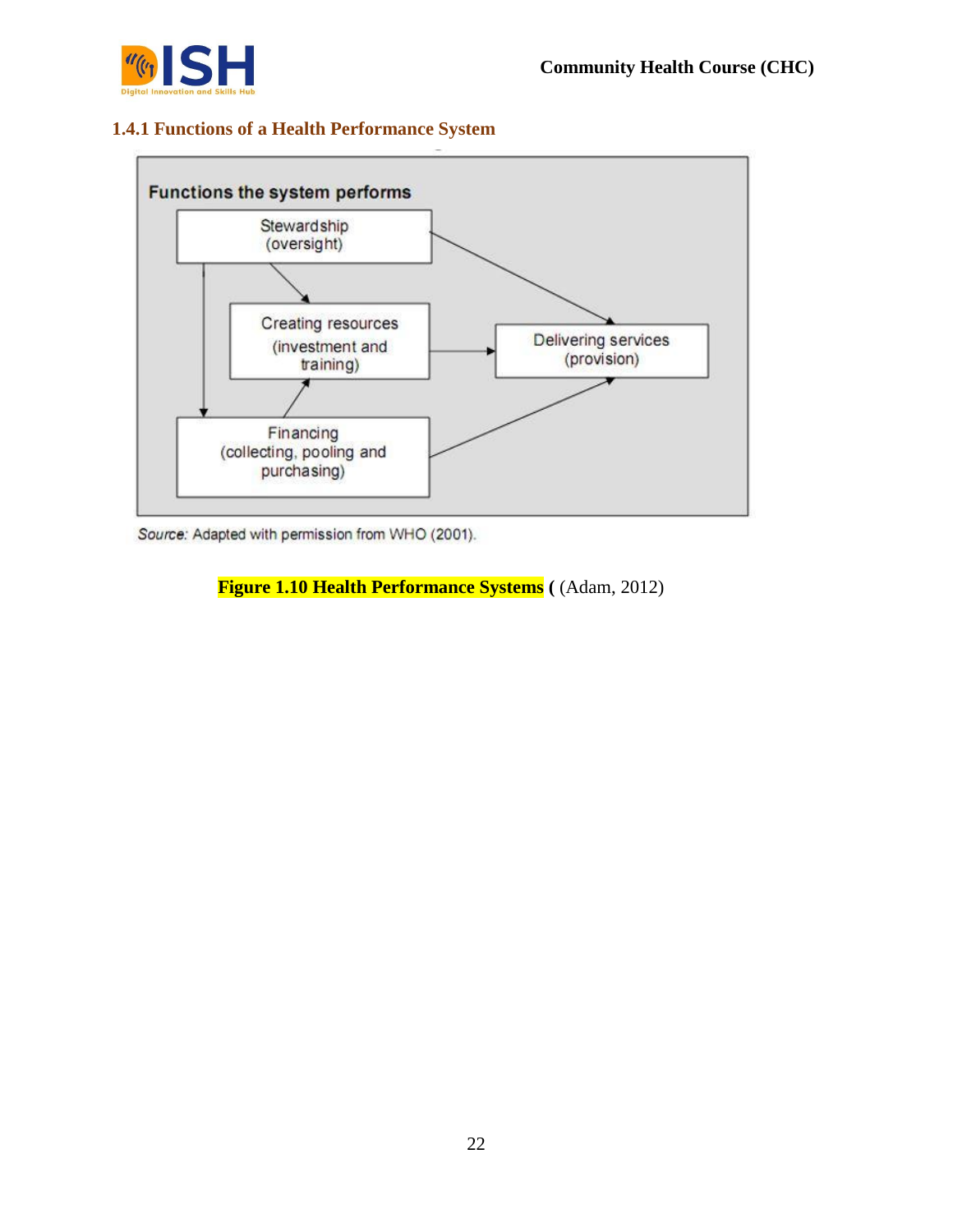

## **1.4.1 Functions of a Health Performance System**



Source: Adapted with permission from WHO (2001).

**Figure 1.10 Health Performance Systems (** (Adam, 2012)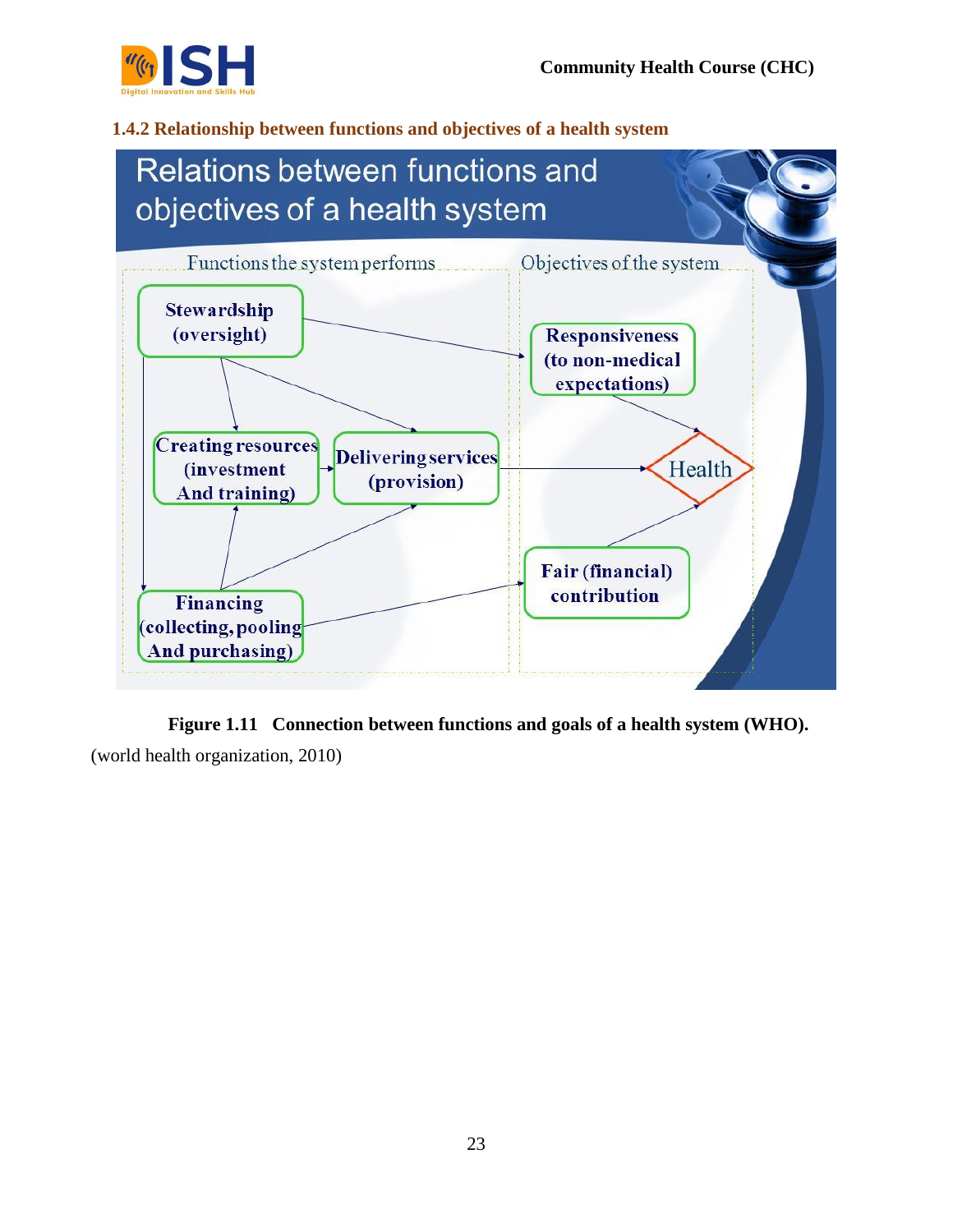

## **1.4.2 Relationship between functions and objectives of a health system**



**Figure 1.11 Connection between functions and goals of a health system (WHO).**  (world health organization, 2010)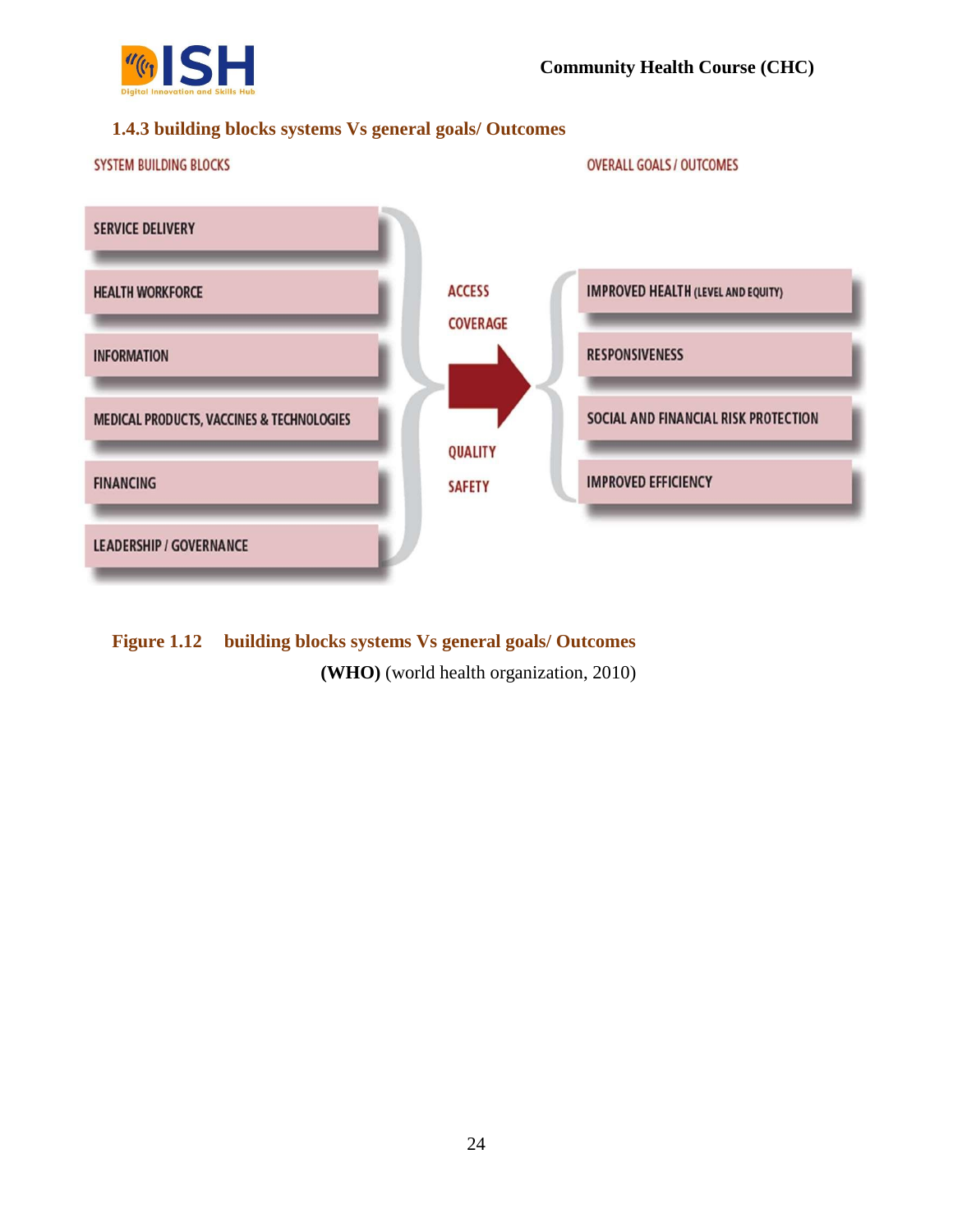

## **1.4.3 building blocks systems Vs general goals/ Outcomes**



**Figure 1.12 building blocks systems Vs general goals/ Outcomes (WHO)** (world health organization, 2010)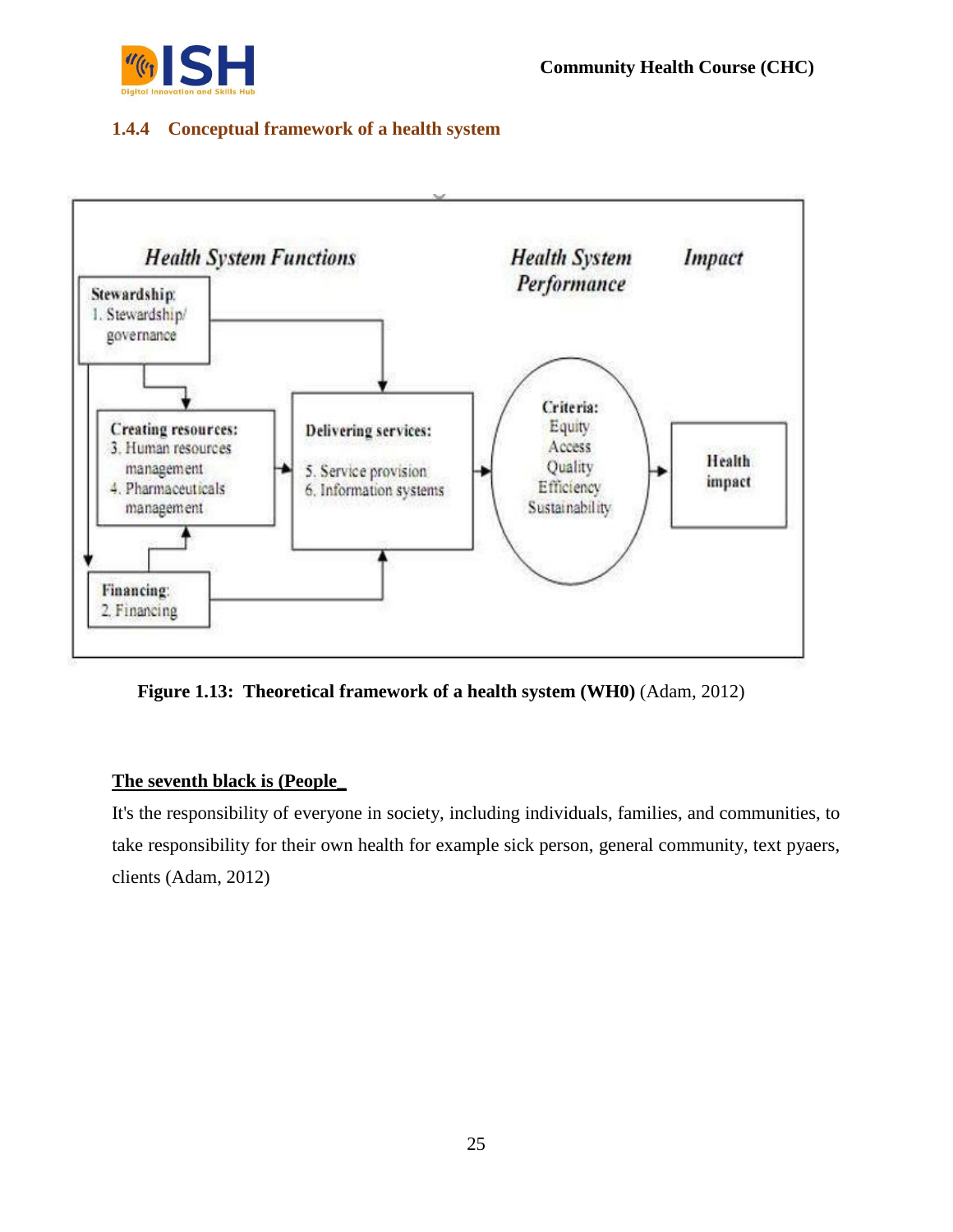

## **1.4.4 Conceptual framework of a health system**



**Figure 1.13: Theoretical framework of a health system (WH0)** (Adam, 2012)

## **The seventh black is (People\_**

It's the responsibility of everyone in society, including individuals, families, and communities, to take responsibility for their own health for example sick person, general community, text pyaers, clients (Adam, 2012)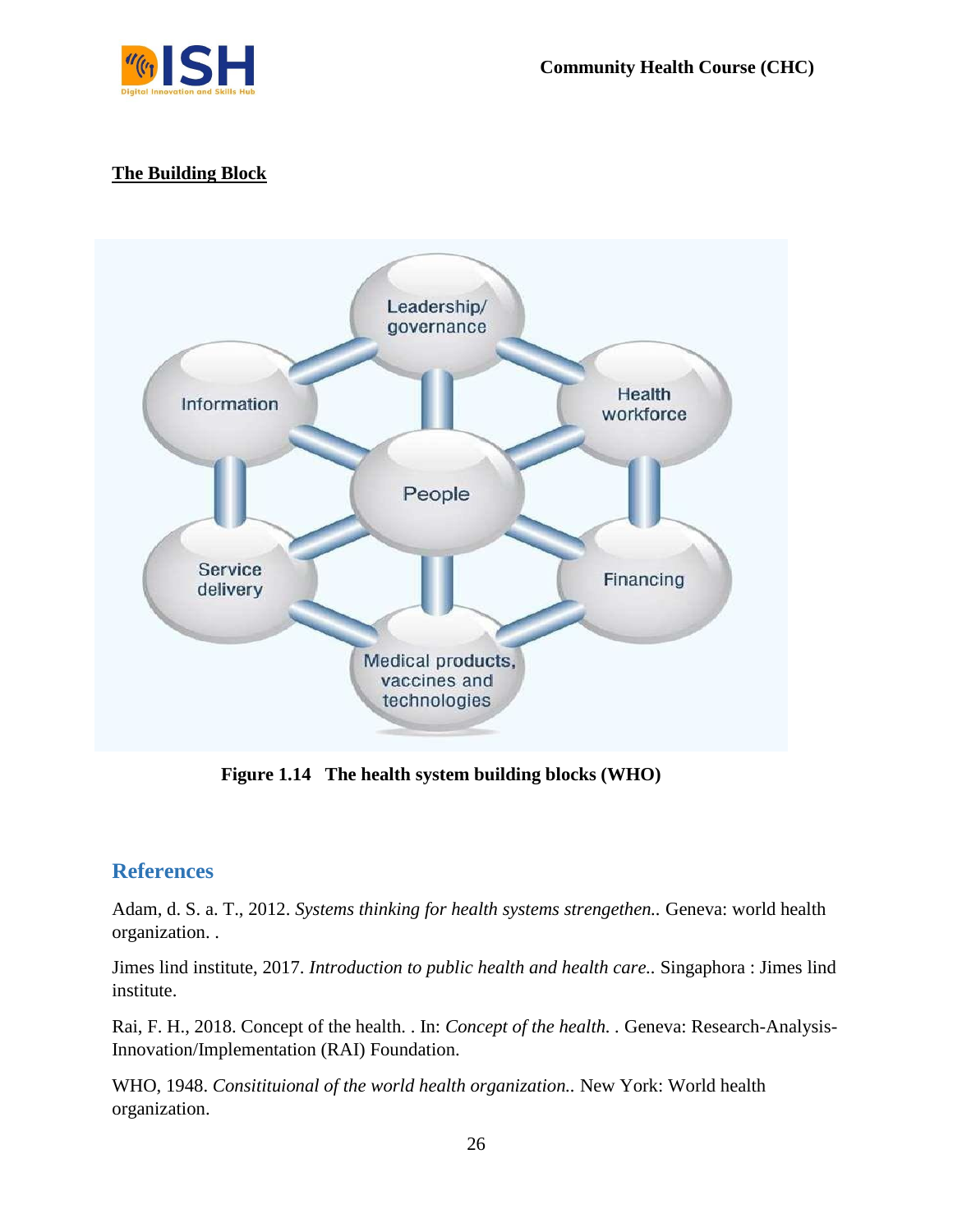

## **The Building Block**



**Figure 1.14 The health system building blocks (WHO)**

## **References**

Adam, d. S. a. T., 2012. *Systems thinking for health systems strengethen..* Geneva: world health organization. .

Jimes lind institute, 2017. *Introduction to public health and health care..* Singaphora : Jimes lind institute.

Rai, F. H., 2018. Concept of the health. . In: *Concept of the health. .* Geneva: Research-Analysis-Innovation/Implementation (RAI) Foundation.

WHO, 1948. *Consitituional of the world health organization..* New York: World health organization.